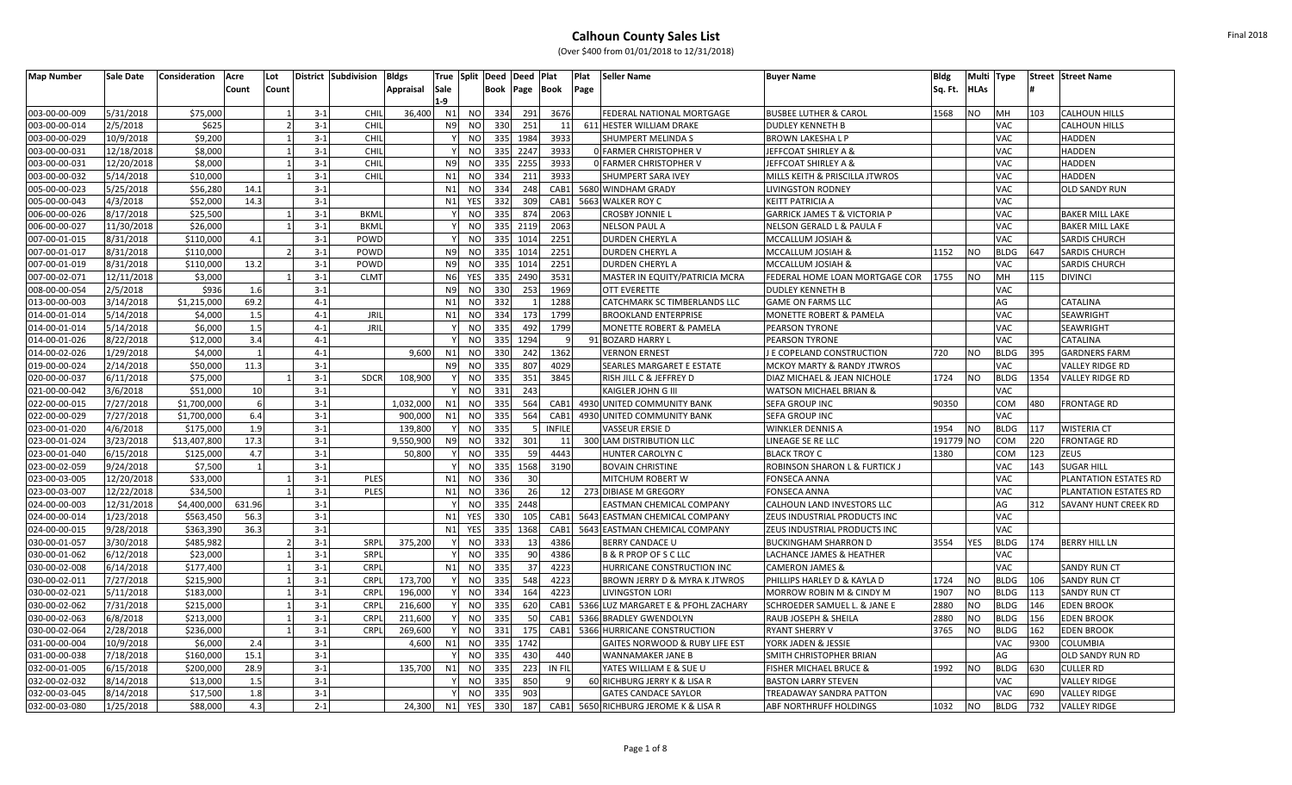#### (Over \$400 from 01/01/2018 to 12/31/2018)

| <b>Map Number</b> | Sale Date  | Consideration | Acre           | Lot   |         | District Subdivision | <b>Bldgs</b>     |                |               | True Split Deed | Deed Plat      |               | Plat | <b>Seller Name</b>                  | <b>Buyer Name</b>                       | <b>Bldg</b> |             | Multi Type  |      | <b>Street Street Name</b> |
|-------------------|------------|---------------|----------------|-------|---------|----------------------|------------------|----------------|---------------|-----------------|----------------|---------------|------|-------------------------------------|-----------------------------------------|-------------|-------------|-------------|------|---------------------------|
|                   |            |               | Count          | Count |         |                      | <b>Appraisal</b> | Sale<br>1-9    |               |                 | Book Page Book |               | Page |                                     |                                         | Sq. Ft.     | <b>HLAs</b> |             |      |                           |
| 003-00-00-009     | 5/31/2018  | \$75,000      |                |       | $3 - 1$ | CHI                  | 36,400           | N <sub>1</sub> | NO.           | 334             | 291            | 3676          |      | FEDERAL NATIONAL MORTGAGE           | <b>BUSBEE LUTHER &amp; CAROL</b>        | 1568        | <b>NO</b>   | MH          | 103  | <b>CALHOUN HILLS</b>      |
| 003-00-00-014     | 2/5/2018   | \$625         |                |       | $3 - 1$ | CHII                 |                  | N <sub>9</sub> | NO.           | 330             | 251            | 11            |      | 611 HESTER WILLIAM DRAKE            | <b>DUDLEY KENNETH B</b>                 |             |             | VAC         |      | CALHOUN HILLS             |
| 003-00-00-029     | 10/9/2018  | \$9.200       |                |       | $3 - 1$ | CHII                 |                  |                | NO.           | 335             | 1984           | 3933          |      | <b>SHUMPERT MELINDA S</b>           | <b>BROWN LAKESHALP</b>                  |             |             | <b>VAC</b>  |      | HADDEN                    |
| 003-00-00-031     | 12/18/2018 | \$8,000       |                |       | $3 - 1$ | CHII                 |                  |                | NO.           | 335             | 2247           | 3933          |      | <b>O FARMER CHRISTOPHER V</b>       | JEFFCOAT SHIRLEY A &                    |             |             | VAC         |      | HADDEN                    |
| 003-00-00-031     | 12/20/2018 | \$8,000       |                |       | $3 - 1$ | CHII                 |                  | <b>N9</b>      | <sub>NO</sub> | 335             | 2255           | 3933          |      | <b>0 FARMER CHRISTOPHER V</b>       | JEFFCOAT SHIRLEY A &                    |             |             | VAC         |      | HADDEN                    |
| 003-00-00-032     | 5/14/2018  | \$10,000      |                |       | $3 - 1$ | CHII                 |                  | N <sub>1</sub> | <b>NO</b>     | 334             | 211            | 3933          |      | SHUMPERT SARA IVEY                  | MILLS KEITH & PRISCILLA JTWROS          |             |             | <b>VAC</b>  |      | HADDEN                    |
| 005-00-00-023     | 5/25/2018  | \$56,280      | 14.1           |       | $3 - 1$ |                      |                  | N <sub>1</sub> | <b>NO</b>     | 334             | 248            | CAB1          |      | 5680 WINDHAM GRADY                  | <b>LIVINGSTON RODNEY</b>                |             |             | VAC         |      | OLD SANDY RUN             |
| 005-00-00-043     | 4/3/2018   | \$52,000      | 14.3           |       | $3 - 1$ |                      |                  | N <sub>1</sub> | YES           | 332             | 309            | CAB1          |      | 5663 WALKER ROY C                   | <b>KEITT PATRICIA A</b>                 |             |             | VAC         |      |                           |
| 006-00-00-026     | 8/17/2018  | \$25.500      |                |       | $3 - 1$ | <b>BKMI</b>          |                  |                | <b>NO</b>     | 335             | 874            | 2063          |      | <b>CROSBY JONNIE L</b>              | <b>GARRICK JAMES T &amp; VICTORIA P</b> |             |             | <b>VAC</b>  |      | <b>BAKER MILL LAKE</b>    |
| 006-00-00-027     | 11/30/2018 | \$26,000      |                |       | $3 - 1$ | <b>BKMI</b>          |                  |                | NO.           | 335             | 2119           | 2063          |      | <b>NELSON PAUL A</b>                | NELSON GERALD L & PAULA F               |             |             | <b>VAC</b>  |      | <b>BAKER MILL LAKE</b>    |
| 007-00-01-015     | 8/31/2018  | \$110,000     | 4.1            |       | $3 - 1$ | POWD                 |                  |                | <sub>NO</sub> | 335             | 1014           | 2251          |      | <b>DURDEN CHERYL A</b>              | MCCALLUM JOSIAH &                       |             |             | <b>VAC</b>  |      | <b>SARDIS CHURCH</b>      |
| 007-00-01-017     | 8/31/2018  | \$110,000     |                |       | $3 - 1$ | POWD                 |                  | <b>N9</b>      | NO.           | 335             | 1014           | 2251          |      | DURDEN CHERYL A                     | MCCALLUM JOSIAH &                       | 1152        | <b>NO</b>   | <b>BLDG</b> | 647  | <b>SARDIS CHURCH</b>      |
| 007-00-01-019     | 8/31/2018  | \$110,000     | 13.2           |       | $3 - 1$ | POWD                 |                  | N <sub>9</sub> | <b>NO</b>     | 335             | 1014           | 2251          |      | DURDEN CHERYL A                     | MCCALLUM JOSIAH &                       |             |             | VAC         |      | SARDIS CHURCH             |
| 007-00-02-071     | 12/11/2018 | \$3,000       |                |       | $3 - 1$ | <b>CLMT</b>          |                  | N <sub>6</sub> | YES           | 335             | 2490           | 3531          |      | MASTER IN EQUITY/PATRICIA MCRA      | FEDERAL HOME LOAN MORTGAGE COR          | 1755        | <b>NO</b>   | MH          | 115  | DIVINCI                   |
| 008-00-00-054     | 2/5/2018   | \$936         | 1.6            |       | $3 - 1$ |                      |                  | N <sub>9</sub> | <b>NO</b>     | 330             | 253            | 1969          |      | OTT EVERETTE                        | <b>DUDLEY KENNETH B</b>                 |             |             | VAC         |      |                           |
| 013-00-00-003     | 3/14/2018  | \$1,215,000   | 69.2           |       | $4 - 1$ |                      |                  | N <sub>1</sub> | <b>NO</b>     | 332             |                | 1288          |      | CATCHMARK SC TIMBERLANDS LLC        | <b>GAME ON FARMS LLC</b>                |             |             | AG          |      | CATALINA                  |
| 014-00-01-014     | 5/14/2018  | \$4.000       | 1.5            |       | $4 - 1$ | <b>JRII</b>          |                  | N <sub>1</sub> | <b>NO</b>     | 334             | 173            | 1799          |      | <b>BROOKLAND ENTERPRISE</b>         | <b>MONETTE ROBERT &amp; PAMELA</b>      |             |             | VAC         |      | SEAWRIGHT                 |
| 014-00-01-014     | 5/14/2018  | \$6,000       | 1.5            |       | $4 - 1$ | <b>JRIL</b>          |                  |                | <sub>NO</sub> | 335             | 492            | 1799          |      | <b>MONETTE ROBERT &amp; PAMELA</b>  | <b>PEARSON TYRONE</b>                   |             |             | <b>VAC</b>  |      | <b>SEAWRIGHT</b>          |
| 014-00-01-026     | 8/22/2018  | \$12,000      | 3.4            |       | $4 - 1$ |                      |                  |                | NO.           | 335             | 1294           |               |      | 91 BOZARD HARRY L                   | <b>PEARSON TYRONE</b>                   |             |             | <b>VAC</b>  |      | CATALINA                  |
| 014-00-02-026     | 1/29/2018  | \$4,000       | $\overline{1}$ |       | $4 - 1$ |                      | 9,600            | N <sub>1</sub> | <b>NO</b>     | 330             | 242            | 1362          |      | <b>VERNON ERNEST</b>                | J E COPELAND CONSTRUCTION               | 720         | <b>NO</b>   | <b>BLDG</b> | 395  | <b>GARDNERS FARM</b>      |
| 019-00-00-024     | 2/14/2018  | \$50,000      | 11.3           |       | $3 - 1$ |                      |                  | N <sub>9</sub> | <b>NO</b>     | 335             | 807            | 4029          |      | SEARLES MARGARET E ESTATE           | MCKOY MARTY & RANDY JTWROS              |             |             | VAC         |      | VALLEY RIDGE RD           |
| 020-00-00-037     | 6/11/2018  | \$75,000      |                |       | $3 - 1$ | <b>SDCR</b>          | 108,900          |                | <sub>NO</sub> | 335             | 351            | 3845          |      | RISH JILL C & JEFFREY D             | DIAZ MICHAEL & JEAN NICHOLE             | 1724        | <b>NO</b>   | <b>BLDG</b> | 1354 | VALLEY RIDGE RD           |
| 021-00-00-042     | 3/6/2018   | \$51,000      | 10             |       | $3 - 1$ |                      |                  |                | <sub>NO</sub> | 331             | 243            |               |      | KAIGLER JOHN G III                  | <b>WATSON MICHAEL BRIAN &amp;</b>       |             |             | VAC         |      |                           |
| 022-00-00-015     | 7/27/2018  | \$1,700,000   | 6              |       | $3 - 1$ |                      | 1,032,000        | N <sub>1</sub> | <sub>NO</sub> | 335             | 564            | CAB1          |      | 4930 UNITED COMMUNITY BANK          | <b>SEFA GROUP INC</b>                   | 90350       |             | COM         | 480  | <b>FRONTAGE RD</b>        |
| 022-00-00-029     | 7/27/2018  | \$1,700,000   | 6.4            |       | $3 - 1$ |                      | 900,000          | N <sub>1</sub> | NO.           | 335             | 564            | CAB1          |      | 4930 UNITED COMMUNITY BANK          | <b>SEFA GROUP INC</b>                   |             |             | <b>VAC</b>  |      |                           |
| 023-00-01-020     | 4/6/2018   | \$175,000     | 1.9            |       | $3 - 1$ |                      | 139,800          |                | <sub>NO</sub> | 335             |                | <b>INFILE</b> |      | VASSEUR ERSIE D                     | WINKLER DENNIS A                        | 1954        | <b>NO</b>   | <b>BLDG</b> | 117  | <b>WISTERIA CT</b>        |
| 023-00-01-024     | 3/23/2018  | \$13,407,800  | 17.3           |       | $3 - 1$ |                      | 9,550,900        | N <sub>9</sub> | <b>NO</b>     | 332             | 301            | 11            |      | 300 LAM DISTRIBUTION LLC            | LINEAGE SE RE LLC                       | 191779 NO   |             | COM         | 220  | <b>FRONTAGE RD</b>        |
| 023-00-01-040     | 6/15/2018  | \$125,000     | 4.7            |       | $3 - 1$ |                      | 50,800           |                | <sub>NO</sub> | 335             | 59             | 4443          |      | HUNTER CAROLYN C                    | <b>BLACK TROY C</b>                     | 1380        |             | COM         | 123  | ZEUS                      |
| 023-00-02-059     | 9/24/2018  | \$7,500       |                |       | $3 - 1$ |                      |                  |                | <sub>NO</sub> | 335             | 1568           | 3190          |      | <b>BOVAIN CHRISTINE</b>             | ROBINSON SHARON L & FURTICK J           |             |             | VAC         | 143  | SUGAR HILL                |
| 023-00-03-005     | 12/20/2018 | \$33,000      |                |       | $3 - 1$ | PLES                 |                  | N1             | <b>NO</b>     | 336             | 30             |               |      | MITCHUM ROBERT W                    | <b>FONSECA ANNA</b>                     |             |             | VAC         |      | PLANTATION ESTATES RD     |
| 023-00-03-007     | 12/22/2018 | \$34,500      |                |       | $3 - 1$ | PLES                 |                  | N <sub>1</sub> | <b>NO</b>     | 336             | 26             | 12            |      | 273 DIBIASE M GREGORY               | <b>FONSECA ANNA</b>                     |             |             | VAC         |      | PLANTATION ESTATES RD     |
| 024-00-00-003     | 12/31/2018 | \$4,400,000   | 631.96         |       | $3 - 1$ |                      |                  |                | NO.           | 335             | 2448           |               |      | EASTMAN CHEMICAL COMPANY            | CALHOUN LAND INVESTORS LLC              |             |             | AG          | 312  | SAVANY HUNT CREEK RD      |
| 024-00-00-014     | 1/23/2018  | \$563.450     | 56.3           |       | $3 - 1$ |                      |                  | N1             | <b>YES</b>    | 330             | 105            | CAB1          |      | 5643 EASTMAN CHEMICAL COMPANY       | ZEUS INDUSTRIAL PRODUCTS INC            |             |             | VAC         |      |                           |
| 024-00-00-015     | 9/28/2018  | \$363,390     | 36.3           |       | $3 - 1$ |                      |                  | N <sub>1</sub> | <b>YES</b>    | 335             | 1368           | CAB1          |      | 5643 EASTMAN CHEMICAL COMPANY       | ZEUS INDUSTRIAL PRODUCTS INC            |             |             | VAC         |      |                           |
| 030-00-01-057     | 3/30/2018  | \$485,982     |                |       | $3 - 1$ | SRPI                 | 375,200          |                | <b>NO</b>     | 333             | 13             | 4386          |      | <b>BERRY CANDACE U</b>              | <b>BUCKINGHAM SHARRON D</b>             | 3554        | <b>YES</b>  | <b>BLDG</b> | 174  | <b>BERRY HILL LN</b>      |
| 030-00-01-062     | 6/12/2018  | \$23,000      |                |       | $3 - 1$ | SRPI                 |                  |                | NO.           | 335             | 90             | 4386          |      | <b>B &amp; R PROP OF S C LLC</b>    | LACHANCE JAMES & HEATHER                |             |             | VAC         |      |                           |
| 030-00-02-008     | 6/14/2018  | \$177,400     |                |       | $3 - 1$ | <b>CRPI</b>          |                  | N <sub>1</sub> | <b>NO</b>     | 335             | 37             | 4223          |      | HURRICANE CONSTRUCTION INC          | <b>CAMERON JAMES &amp;</b>              |             |             | VAC         |      | SANDY RUN CT              |
| 030-00-02-011     | 7/27/2018  | \$215,900     |                |       | $3 - 1$ | CRPI                 | 173,700          |                | <sub>NO</sub> | 335             | 548            | 4223          |      | BROWN JERRY D & MYRA K JTWROS       | PHILLIPS HARLEY D & KAYLA D             | 1724        | <b>NO</b>   | <b>BLDG</b> | 106  | SANDY RUN CT              |
| 030-00-02-021     | 5/11/2018  | \$183,000     |                |       | $3 - 1$ | CRPI                 | 196,000          |                | <sub>NO</sub> | 334             | 164            | 4223          |      | <b>LIVINGSTON LORI</b>              | MORROW ROBIN M & CINDY M                | 1907        | <b>NO</b>   | <b>BLDG</b> | 113  | SANDY RUN CT              |
| 030-00-02-062     | 7/31/2018  | \$215,000     |                |       | $3 - 1$ | CRPI                 | 216,600          |                | <b>NO</b>     | 335             | 620            | CAB1          |      | 5366 LUZ MARGARET E & PFOHL ZACHARY | SCHROEDER SAMUEL L. & JANE E            | 2880        | <b>NO</b>   | <b>BLDG</b> | 146  | <b>EDEN BROOK</b>         |
| 030-00-02-063     | 6/8/2018   | \$213,000     |                |       | $3 - 1$ | CRPI                 | 211.600          |                | <sub>NO</sub> | 335             | 50             | CAB1          |      | 5366 BRADLEY GWENDOLYN              | RAUB JOSEPH & SHEILA                    | 2880        | <b>NO</b>   | <b>BLDG</b> | 156  | <b>EDEN BROOK</b>         |
| 030-00-02-064     | 2/28/2018  | \$236,000     |                |       | $3 - 1$ | CRPI                 | 269,600          |                | <b>NO</b>     | 331             | 175            | CAB1          |      | 5366 HURRICANE CONSTRUCTION         | RYANT SHERRY V                          | 3765        | <b>NO</b>   | <b>BLDG</b> | 162  | <b>EDEN BROOK</b>         |
| 031-00-00-004     | 10/9/2018  | \$6,000       | 2.4            |       | $3 - 1$ |                      | 4,600            | N <sub>1</sub> | <b>NO</b>     | 335             | 1742           |               |      | GAITES NORWOOD & RUBY LIFE EST      | YORK JADEN & JESSIE                     |             |             | VAC         | 9300 | <b>COLUMBIA</b>           |
| 031-00-00-038     | 7/18/2018  | \$160,000     | 15.1           |       | $3 - 1$ |                      |                  |                | <b>NO</b>     | 335             | 430            | 440           |      | WANNAMAKER JANE B                   | SMITH CHRISTOPHER BRIAN                 |             |             | AG          |      | OLD SANDY RUN RD          |
| 032-00-01-005     | 6/15/2018  | \$200,000     | 28.9           |       | $3 - 1$ |                      | 135,700          | N <sub>1</sub> | <b>NO</b>     | 335             | 223            | IN FIL        |      | YATES WILLIAM E & SUE U             | <b>FISHER MICHAEL BRUCE &amp;</b>       | 1992        | <b>NO</b>   | <b>BLDG</b> | 630  | <b>CULLER RD</b>          |
| 032-00-02-032     | 8/14/2018  | \$13,000      | 1.5            |       | $3 - 1$ |                      |                  |                | <b>NO</b>     | 335             | 850            |               |      | 60 RICHBURG JERRY K & LISA R        | <b>BASTON LARRY STEVEN</b>              |             |             | VAC         |      | <b>VALLEY RIDGE</b>       |
| 032-00-03-045     | 8/14/2018  | \$17,500      | 1.8            |       | $3 - 1$ |                      |                  |                | NO.           | 335             | 903            |               |      | <b>GATES CANDACE SAYLOR</b>         | TREADAWAY SANDRA PATTON                 |             |             | VAC         | 690  | <b>VALLEY RIDGE</b>       |
| 032-00-03-080     | 1/25/2018  | \$88,000      | 4.3            |       | $2 - 1$ |                      | 24.300           | N <sub>1</sub> | <b>YES</b>    | 330             | 187            | CAB1          |      | 5650 RICHBURG JEROME K & LISA R     | ABF NORTHRUFF HOLDINGS                  | 1032        | <b>NO</b>   | <b>BLDG</b> | 732  | <b>VALLEY RIDGE</b>       |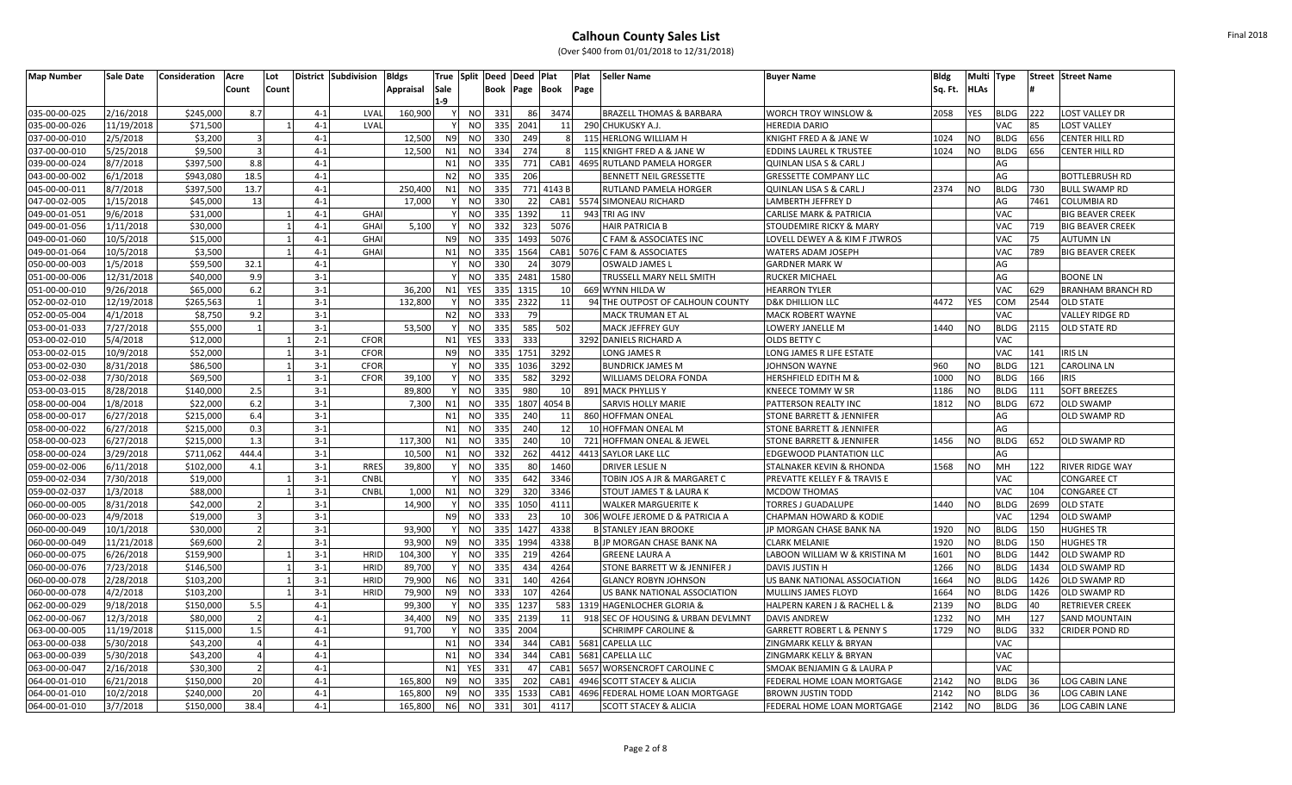| <b>Map Number</b> | Sale Date  | <b>Consideration</b> | Acre           | Lot   |         | District Subdivision | <b>Bldgs</b> | True           | Split Deed |             | <b>Deed</b> | Plat            | Plat<br>Seller Name                 | <b>Buyer Name</b>                     | <b>Bldg</b> | Multi Type     |             |      | <b>Street Street Name</b> |
|-------------------|------------|----------------------|----------------|-------|---------|----------------------|--------------|----------------|------------|-------------|-------------|-----------------|-------------------------------------|---------------------------------------|-------------|----------------|-------------|------|---------------------------|
|                   |            |                      | Count          | Count |         |                      | Appraisal    | Sale           |            | <b>Book</b> | Page        | <b>Book</b>     | Page                                |                                       | Sq. Ft.     | <b>HLAs</b>    |             |      |                           |
|                   |            |                      |                |       |         |                      |              | 1-9            |            |             |             |                 |                                     |                                       |             |                |             |      |                           |
| 035-00-00-025     | 2/16/2018  | \$245,000            | 8.7            |       | $4 - 1$ | LVAL                 | 160,900      | Y              | <b>NO</b>  | 331         | 86          | 3474            | <b>BRAZELL THOMAS &amp; BARBARA</b> | WORCH TROY WINSLOW &                  | 2058        | <b>YES</b>     | <b>BLDG</b> | 222  | <b>LOST VALLEY DR</b>     |
| 035-00-00-026     | 11/19/2018 | \$71,500             |                |       | $4 - 1$ | LVAL                 |              |                | <b>NO</b>  | 335         | 2041        | 11              | 290 CHUKUSKY A.J                    | <b>HEREDIA DARIO</b>                  |             |                | VAC         | 85   | <b>LOST VALLEY</b>        |
| 037-00-00-010     | 2/5/2018   | \$3,200              |                |       | $4 - 1$ |                      | 12,500       | N <sub>9</sub> | <b>NO</b>  | 330         | 249         | <sub>R</sub>    | 115 HERLONG WILLIAM H               | KNIGHT FRED A & JANE W                | 1024        | <b>NO</b>      | <b>BLDG</b> | 656  | <b>CENTER HILL RD</b>     |
| 037-00-00-010     | 5/25/2018  | \$9,500              |                |       | $4 - 1$ |                      | 12,500       | N1             | <b>NO</b>  | 334         | 274         |                 | 115 KNIGHT FRED A & JANE W          | <b>EDDINS LAUREL K TRUSTEE</b>        | 1024        | <b>NO</b>      | <b>BLDG</b> | 656  | <b>CENTER HILL RD</b>     |
| 039-00-00-024     | 8/7/2018   | \$397,500            | 8.8            |       | $4 - 1$ |                      |              | N <sub>1</sub> | <b>NO</b>  | 335         | 771         | CAB1            | 4695 RUTLAND PAMELA HORGER          | QUINLAN LISA S & CARL J               |             |                | AG          |      |                           |
| 043-00-00-002     | 6/1/2018   | \$943,080            | 18.5           |       | $4 - 1$ |                      |              | N <sub>2</sub> | <b>NO</b>  | 335         | 206         |                 | BENNETT NEIL GRESSETTE              | <b>GRESSETTE COMPANY LLC</b>          |             |                | AG          |      | <b>BOTTLEBRUSH RD</b>     |
| 045-00-00-011     | 8/7/2018   | \$397,500            | 13.7           |       | $4 - 1$ |                      | 250,400      | N1             | NO         | 335         |             | 771 4143 B      | RUTLAND PAMELA HORGER               | <b>QUINLAN LISA S &amp; CARL J</b>    | 2374        | <b>NO</b>      | <b>BLDG</b> | 730  | <b>BULL SWAMP RD</b>      |
| 047-00-02-005     | 1/15/2018  | \$45,000             | 13             |       | $4 - 1$ |                      | 17,000       |                | <b>NO</b>  | 330         | 22          |                 | CAB1 5574 SIMONEAU RICHARD          | LAMBERTH JEFFREY D                    |             |                | AG          | 7461 | <b>COLUMBIA RD</b>        |
| 049-00-01-051     | 9/6/2018   | \$31,000             |                |       | $4 - 1$ | <b>GHA</b>           |              |                | <b>NO</b>  | 335         | 1392        | 11              | 943 TRI AG INV                      | <b>CARLISE MARK &amp; PATRICIA</b>    |             |                | VAC         |      | <b>BIG BEAVER CREEK</b>   |
| 049-00-01-056     | 1/11/2018  | \$30,000             |                |       | $4 - 1$ | GHAI                 | 5,100        |                | NO         | 332         | 323         | 5076            | <b>HAIR PATRICIA B</b>              | STOUDEMIRE RICKY & MARY               |             |                | VAC         | 719  | <b>BIG BEAVER CREEK</b>   |
| 049-00-01-060     | 10/5/2018  | \$15,000             |                |       | $4 - 1$ | GHAI                 |              | N <sub>9</sub> | NO         | 335         | 1493        | 5076            | C FAM & ASSOCIATES INC              | LOVELL DEWEY A & KIM F JTWROS         |             |                | VAC         | 75   | <b>AUTUMN LN</b>          |
| 049-00-01-064     | 10/5/2018  | \$3,500              |                |       | $4 - 1$ | <b>GHAI</b>          |              | N <sub>1</sub> | <b>NO</b>  | 335         | 1564        | CAB1            | 5076 C FAM & ASSOCIATES             | WATERS ADAM JOSEPH                    |             |                | VAC         | 789  | <b>BIG BEAVER CREEK</b>   |
| 050-00-00-003     | 1/5/2018   | \$59,500             | 32.1           |       | $4 - 1$ |                      |              |                | <b>NO</b>  | 330         | 24          | 3079            | OSWALD JAMES L                      | <b>GARDNER MARK W</b>                 |             |                | AG          |      |                           |
| 051-00-00-006     | 12/31/2018 | \$40,000             | 9.9            |       | $3 - 1$ |                      |              |                | <b>NO</b>  | 335         | 2481        | 1580            | TRUSSELL MARY NELL SMITH            | <b>RUCKER MICHAEL</b>                 |             |                | AG          |      | <b>BOONE LN</b>           |
| 051-00-00-010     | 9/26/2018  | \$65,000             | 6.2            |       | $3 - 1$ |                      | 36,200       | N <sub>1</sub> | YES        | 335         | 1315        | 10 <sup>1</sup> | 669 WYNN HILDA W                    | <b>HEARRON TYLER</b>                  |             |                | VAC         | 629  | <b>BRANHAM BRANCH RD</b>  |
| 052-00-02-010     | 12/19/2018 | \$265.563            | $\mathbf{1}$   |       | $3 - 1$ |                      | 132.800      |                | <b>NO</b>  | 335         | 2322        | 11              | 94 THE OUTPOST OF CALHOUN COUNTY    | <b>D&amp;K DHILLION LLC</b>           | 4472        | <b>YES</b>     | COM         | 2544 | <b>OLD STATE</b>          |
| 052-00-05-004     | 4/1/2018   | \$8,750              | 9.2            |       | $3 - 1$ |                      |              | N <sub>2</sub> | <b>NO</b>  | 333         | 79          |                 | MACK TRUMAN ET AL                   | <b>MACK ROBERT WAYNE</b>              |             |                | <b>VAC</b>  |      | <b>VALLEY RIDGE RD</b>    |
| 053-00-01-033     | 7/27/2018  | \$55,000             |                |       | $3 - 1$ |                      | 53,500       |                | <b>NO</b>  | 335         | 585         | 502             | <b>MACK JEFFREY GUY</b>             | LOWERY JANELLE M                      | 1440        | <b>NO</b>      | <b>BLDG</b> | 2115 | <b>OLD STATE RD</b>       |
| 053-00-02-010     | 5/4/2018   | \$12,000             |                |       | $2 - 1$ | <b>CFOR</b>          |              | N1             | YES        | 333         | 333         |                 | 3292 DANIELS RICHARD A              | OLDS BETTY C                          |             |                | VAC         |      |                           |
| 053-00-02-015     | 10/9/2018  | \$52,000             |                |       | $3 - 1$ | <b>CFOR</b>          |              | N <sub>9</sub> | <b>NO</b>  | 335         | 1751        | 3292            | LONG JAMES R                        | ONG JAMES R LIFE ESTATE               |             |                | VAC         | 141  | <b>IRIS LN</b>            |
| 053-00-02-030     | 8/31/2018  | \$86,500             |                |       | $3 - 1$ | <b>CFOR</b>          |              |                | <b>NO</b>  | 335         | 1036        | 3292            | <b>BUNDRICK JAMES M</b>             | <b>JOHNSON WAYNE</b>                  | 960         | <b>NO</b>      | <b>BLDG</b> | 121  | <b>CAROLINA LN</b>        |
| 053-00-02-038     | 7/30/2018  | \$69,500             |                |       | $3 - 1$ | <b>CFOR</b>          | 39,100       |                | NO         | 335         | 582         | 3292            | WILLIAMS DELORA FONDA               | <b>HERSHFIELD EDITH M &amp;</b>       | 1000        | N <sub>O</sub> | <b>BLDG</b> | 166  | <b>IRIS</b>               |
| 053-00-03-015     | 8/28/2018  | \$140,000            | 2.5            |       | $3 - 1$ |                      | 89,800       |                | <b>NO</b>  | 335         | 980         | 10              | 891 MACK PHYLLIS Y                  | KNEECE TOMMY W SR                     | 1186        | N <sub>O</sub> | <b>BLDG</b> | 111  | <b>SOFT BREEZES</b>       |
| 058-00-00-004     | 1/8/2018   | \$22,000             | 6.2            |       | $3 - 1$ |                      | 7,300        | N <sub>1</sub> | <b>NO</b>  | 335         | 1807        | 4054B           | <b>SARVIS HOLLY MARIE</b>           | PATTERSON REALTY INC                  | 1812        | <b>NO</b>      | <b>BLDG</b> | 672  | <b>OLD SWAMP</b>          |
| 058-00-00-017     | 6/27/2018  | \$215,000            | 6.4            |       | $3 - 1$ |                      |              | N <sub>1</sub> | <b>NO</b>  | 335         | 240         | 11              | 860 HOFFMAN ONEAL                   | <b>STONE BARRETT &amp; JENNIFER</b>   |             |                | AG          |      | <b>OLD SWAMP RD</b>       |
| 058-00-00-022     | 6/27/2018  | \$215,000            | 0.3            |       | $3 - 1$ |                      |              | N <sub>1</sub> | NO         | 335         | 240         | 12              | 10 HOFFMAN ONEAL M                  | <b>STONE BARRETT &amp; JENNIFER</b>   |             |                | AG          |      |                           |
| 058-00-00-023     | 6/27/2018  | \$215,000            | 1.3            |       | $3 - 1$ |                      | 117,300      | N1             | <b>NO</b>  | 335         | 240         | 10              | 721 HOFFMAN ONEAL & JEWEL           | <b>STONE BARRETT &amp; JENNIFER</b>   | 1456        | N <sub>O</sub> | <b>BLDG</b> | 652  | <b>OLD SWAMP RD</b>       |
| 058-00-00-024     | 3/29/2018  | \$711,062            | 444.4          |       | $3 - 1$ |                      | 10,500       | N <sub>1</sub> | NO         | 332         | 262         | 4412            | 4413 SAYLOR LAKE LLC                | <b>EDGEWOOD PLANTATION LLC</b>        |             |                | AG          |      |                           |
| 059-00-02-006     | 6/11/2018  | \$102,000            | 4.1            |       | $3 - 1$ | <b>RRES</b>          | 39,800       |                | NO.        | 335         | -80         | 1460            | <b>DRIVER LESLIE N</b>              | STALNAKER KEVIN & RHONDA              | 1568        | NO.            | MH          | 122  | <b>RIVER RIDGE WAY</b>    |
| 059-00-02-034     | 7/30/2018  | \$19,000             |                |       | $3 - 1$ | <b>CNBL</b>          |              |                | <b>NO</b>  | 335         | 642         | 3346            | TOBIN JOS A JR & MARGARET C         | PREVATTE KELLEY F & TRAVIS E          |             |                | VAC         |      | <b>CONGAREE CT</b>        |
| 059-00-02-037     | 1/3/2018   | \$88,000             |                |       | $3 - 1$ | <b>CNBI</b>          | 1,000        | N1             | <b>NO</b>  | 329         | 320         | 3346            | <b>STOUT JAMES T &amp; LAURA K</b>  | <b>MCDOW THOMAS</b>                   |             |                | VAC         | 104  | <b>CONGAREE CT</b>        |
| 060-00-00-005     | 8/31/2018  | \$42,000             | $\mathcal{P}$  |       | $3 - 1$ |                      | 14,900       |                | <b>NO</b>  | 335         | 1050        | 4111            | <b>WALKER MARGUERITE K</b>          | <b>TORRES J GUADALUPE</b>             | 1440        | <b>NO</b>      | <b>BLDG</b> | 2699 | <b>OLD STATE</b>          |
| 060-00-00-023     | 4/9/2018   | \$19,000             | 3              |       | $3 - 1$ |                      |              | N <sub>9</sub> | <b>NO</b>  | 333         | 23          | 10              | 306 WOLFE JEROME D & PATRICIA A     | CHAPMAN HOWARD & KODIE                |             |                | <b>VAC</b>  | 1294 | <b>OLD SWAMP</b>          |
| 060-00-00-049     | 10/1/2018  | \$30,000             |                |       | $3 - 1$ |                      | 93,900       |                | NO.        | 335         | 1427        | 4338            | <b>B</b> STANLEY JEAN BROOKE        | JP MORGAN CHASE BANK NA               | 1920        | NO             | <b>BLDG</b> | 150  | <b>HUGHES TR</b>          |
| 060-00-00-049     | 11/21/2018 | \$69,600             |                |       | $3 - 1$ |                      | 93,900       | N <sub>9</sub> | <b>NO</b>  | 335         | 1994        | 4338            | <b>BUP MORGAN CHASE BANK NA</b>     | <b>CLARK MELANIE</b>                  | 1920        | <b>NO</b>      | <b>BLDG</b> | 150  | <b>HUGHES TR</b>          |
| 060-00-00-075     | 6/26/2018  | \$159,900            |                |       | $3 - 1$ | <b>HRID</b>          | 104,300      |                | <b>NO</b>  | 335         | 219         | 4264            | <b>GREENE LAURA A</b>               | LABOON WILLIAM W & KRISTINA M         | 1601        | <b>NO</b>      | <b>BLDG</b> | 1442 | <b>OLD SWAMP RD</b>       |
| 060-00-00-076     | 7/23/2018  | \$146.500            |                |       | $3 - 1$ | <b>HRID</b>          | 89.700       |                | <b>NO</b>  | 335         | 434         | 4264            | STONE BARRETT W & JENNIFER J        | DAVIS JUSTIN H                        | 1266        | N <sub>O</sub> | <b>BLDG</b> | 1434 | <b>OLD SWAMP RD</b>       |
| 060-00-00-078     | 2/28/2018  | \$103,200            |                |       | $3 - 1$ | <b>HRID</b>          | 79,900       | <b>N6</b>      | <b>NO</b>  | 331         | 140         | 4264            | <b>GLANCY ROBYN JOHNSON</b>         | US BANK NATIONAL ASSOCIATION          | 1664        | N <sub>O</sub> | <b>BLDG</b> | 1426 | <b>OLD SWAMP RD</b>       |
| 060-00-00-078     | 4/2/2018   | \$103,200            |                |       | $3 - 1$ | <b>HRID</b>          | 79,900       | N <sub>9</sub> | <b>NO</b>  | 333         | 107         | 4264            | US BANK NATIONAL ASSOCIATION        | MULLINS JAMES FLOYD                   | 1664        | <b>NO</b>      | <b>BLDG</b> | 1426 | <b>OLD SWAMP RD</b>       |
| 062-00-00-029     | 9/18/2018  | \$150,000            | 5.5            |       | $4 - 1$ |                      | 99,300       |                | <b>NO</b>  | 335         | 1237        | 583             | 1319 HAGENLOCHER GLORIA &           | HALPERN KAREN J & RACHEL L &          | 2139        | <b>NO</b>      | <b>BLDG</b> | 40   | <b>RETRIEVER CREEK</b>    |
| 062-00-00-067     | 12/3/2018  | \$80,000             | $\overline{z}$ |       | $4 - 1$ |                      | 34.400       | N <sub>9</sub> | <b>NO</b>  | 335         | 2139        | 11              | 918 SEC OF HOUSING & URBAN DEVLMNT  | <b>DAVIS ANDREW</b>                   | 1232        | <b>NO</b>      | MH          | 127  | <b>SAND MOUNTAIN</b>      |
| 063-00-00-005     | 11/19/2018 | \$115,000            | 1.5            |       | $4 - 1$ |                      | 91,700       |                | <b>NO</b>  | 335         | 2004        |                 | <b>SCHRIMPF CAROLINE &amp;</b>      | <b>GARRETT ROBERT L &amp; PENNY S</b> | 1729        | N <sub>O</sub> | <b>BLDG</b> | 332  | <b>CRIDER POND RD</b>     |
| 063-00-00-038     | 5/30/2018  | \$43,200             |                |       | $4 - 1$ |                      |              | N <sub>1</sub> | NO         | 334         | 344         | CAB1            | 5681 CAPELLA LLC                    | ZINGMARK KELLY & BRYAN                |             |                | VAC         |      |                           |
| 063-00-00-039     | 5/30/2018  | \$43,200             |                |       | $4 - 1$ |                      |              | N <sub>1</sub> | <b>NO</b>  | 334         | 344         | CAB1            | 5681 CAPELLA LLC                    | ZINGMARK KELLY & BRYAN                |             |                | VAC         |      |                           |
| 063-00-00-047     | 2/16/2018  | \$30.300             |                |       | $4 - 1$ |                      |              | N <sub>1</sub> | <b>YES</b> | 331         | 47          | CAB1            | 5657 WORSENCROFT CAROLINE C         | SMOAK BENJAMIN G & LAURA P            |             |                | VAC         |      |                           |
| 064-00-01-010     | 6/21/2018  | \$150,000            | 20             |       | $4 - 1$ |                      | 165,800      | N <sub>9</sub> | <b>NO</b>  | 335         | 202         | CAB1            | 4946 SCOTT STACEY & ALICIA          | FEDERAL HOME LOAN MORTGAGE            | 2142        | <b>NO</b>      | BLDG        | 36   | <b>LOG CABIN LANE</b>     |
| 064-00-01-010     | 10/2/2018  | \$240,000            | 20             |       | $4 - 1$ |                      | 165,800      | N <sub>9</sub> | <b>NO</b>  | 335         | 1533        | CAB1            | 4696 FEDERAL HOME LOAN MORTGAGE     | <b>BROWN JUSTIN TODD</b>              | 2142        | <b>NO</b>      | <b>BLDG</b> | 36   | <b>LOG CABIN LANE</b>     |
| 064-00-01-010     | 3/7/2018   | \$150,000            | 38.4           |       | $4 - 1$ |                      | 165,800      | N <sub>6</sub> | <b>NO</b>  | 331         | 301         | 4117            | <b>SCOTT STACEY &amp; ALICIA</b>    | FEDERAL HOME LOAN MORTGAGE            | 2142        | <b>NO</b>      | <b>BLDG</b> | 36   | <b>LOG CABIN LANE</b>     |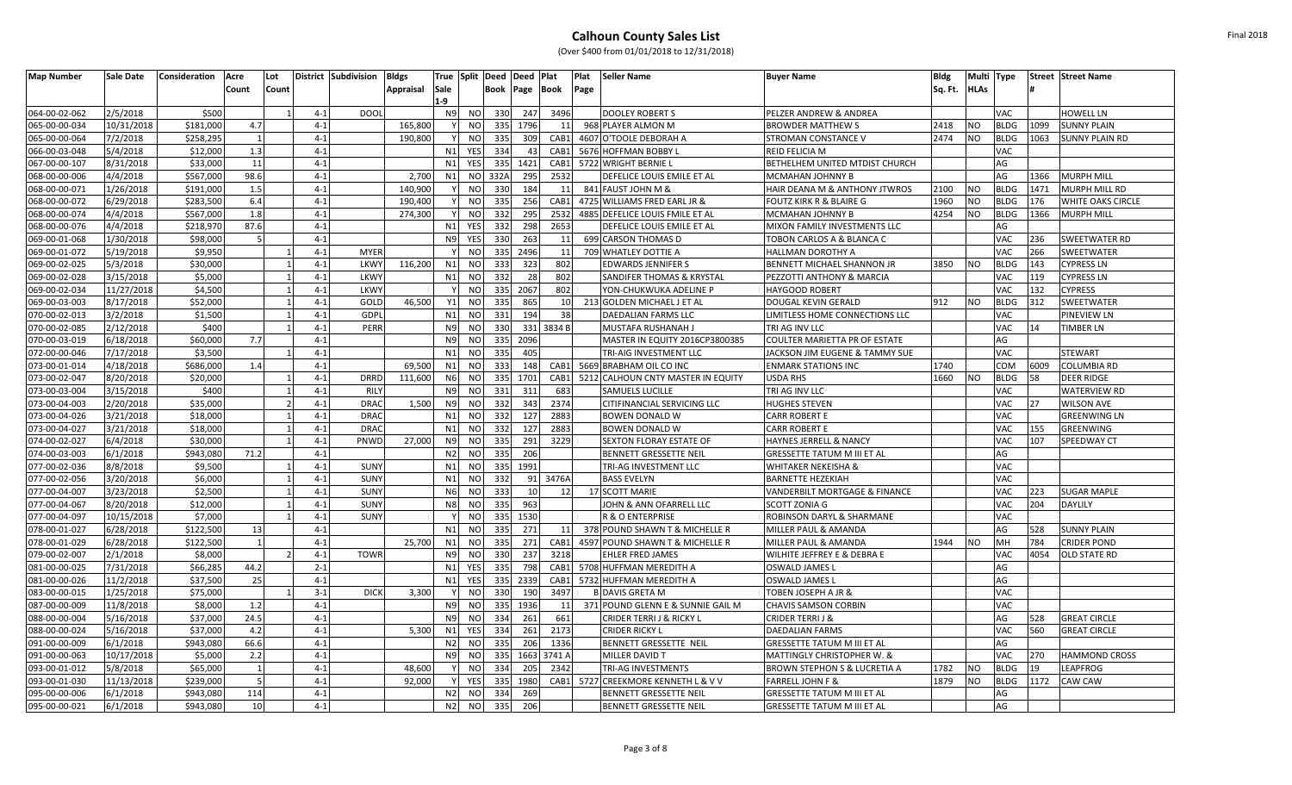| <b>Map Number</b> | Sale Date  | Consideration | Acre  | Lot   |         | District Subdivision | <b>Bldgs</b> | True Split Deed |                |             | <b>Deed</b> | Plat        | Plat<br>Seller Name                 | <b>Buyer Name</b>                       | <b>Bldg</b> |             | Multi Type  |          | <b>Street Street Name</b> |
|-------------------|------------|---------------|-------|-------|---------|----------------------|--------------|-----------------|----------------|-------------|-------------|-------------|-------------------------------------|-----------------------------------------|-------------|-------------|-------------|----------|---------------------------|
|                   |            |               | Count | Count |         |                      | Appraisal    | Sale            |                | <b>Book</b> | Page        | <b>Book</b> | Page                                |                                         | Sq. Ft.     | <b>HLAs</b> |             | <b>H</b> |                           |
|                   |            |               |       |       |         |                      |              | 1-9             |                |             |             |             |                                     |                                         |             |             |             |          |                           |
| 064-00-02-062     | 2/5/2018   | \$500         |       |       | $4 - 1$ | <b>DOOL</b>          |              | <b>N9</b>       | NO             | 330         | 247         | 3496        | <b>DOOLEY ROBERT S</b>              | PELZER ANDREW & ANDREA                  |             |             | VAC         |          | <b>HOWELL LN</b>          |
| 065-00-00-034     | 10/31/2018 | \$181,000     | 4.7   |       | $4 - 1$ |                      | 165,800      |                 | NO.            | 335         | 1796        | 11          | 968 PLAYER ALMON M                  | <b>BROWDER MATTHEW S</b>                | 2418        | NO.         | <b>BLDG</b> | 1099     | <b>SUNNY PLAIN</b>        |
| 065-00-00-064     | 7/2/2018   | \$258,295     |       |       | $4 - 1$ |                      | 190,800      |                 | <b>NO</b>      | 335         | 309         | CAB1        | 4607 O'TOOLE DEBORAH A              | STROMAN CONSTANCE V                     | 2474        | VO          | <b>BLDG</b> | 1063     | <b>SUNNY PLAIN RD</b>     |
| 066-00-03-048     | 5/4/2018   | \$12,000      | 1.3   |       | $4 - 1$ |                      |              | N <sub>1</sub>  | <b>YES</b>     | 334         | 43          | CAB1        | 5676 HOFFMAN BOBBY I                | <b>REID FELICIA M</b>                   |             |             | VAC         |          |                           |
| 067-00-00-107     | 8/31/2018  | \$33,000      | 11    |       | $4 - 1$ |                      |              | N <sub>1</sub>  | <b>YES</b>     | 335         | 1421        | CAB1        | 5722 WRIGHT BERNIE L                | BETHELHEM UNITED MTDIST CHURCH          |             |             | AG          |          |                           |
| 068-00-00-006     | 4/4/2018   | \$567,000     | 98.6  |       | $4 - 1$ |                      | 2,700        | N <sub>1</sub>  |                | NO 332A     | 295         | 2532        | DEFELICE LOUIS EMILE ET AL          | <b>MCMAHAN JOHNNY B</b>                 |             |             | AG          | 1366     | <b>MURPH MILL</b>         |
| 068-00-00-071     | 1/26/2018  | \$191,000     | 1.5   |       | $4 - 1$ |                      | 140,900      |                 | <b>NO</b>      | 330         | 184         | 11          | 841 FAUST JOHN M &                  | HAIR DEANA M & ANTHONY JTWROS           | 2100        | NO          | <b>BLDG</b> | 1471     | <b>MURPH MILL RD</b>      |
| 068-00-00-072     | 6/29/2018  | \$283,500     | 6.4   |       | $4 - 1$ |                      | 190,400      |                 | <b>NO</b>      | 335         | 256         | CAB1        | 4725 WILLIAMS FRED EARL JR &        | <b>FOUTZ KIRK R &amp; BLAIRE G</b>      | 1960        | NO.         | <b>BLDG</b> | 176      | WHITE OAKS CIRCLE         |
| 068-00-00-074     | 4/4/2018   | \$567,000     | 1.8   |       | $4 - 1$ |                      | 274,300      |                 | <b>NO</b>      | 332         | 295         | 2532        | 4885 DEFELICE LOUIS FMILE ET AL     | <b>MCMAHAN JOHNNY B</b>                 | 4254        | NO.         | <b>BLDG</b> | 1366     | <b>MURPH MILL</b>         |
| 068-00-00-076     | 4/4/2018   | \$218,970     | 87.6  |       | $4 - 1$ |                      |              | N1              | YES            | 332         | 298         | 2653        | DEFELICE LOUIS EMILE ET AL          | MIXON FAMILY INVESTMENTS LLC            |             |             | AG          |          |                           |
| 069-00-01-068     | 1/30/2018  | \$98,000      |       |       | $4 - 1$ |                      |              | N <sub>9</sub>  | YES            | 330         | 263         | 11          | 699 CARSON THOMAS D                 | TOBON CARLOS A & BLANCA C               |             |             | VAC         | 236      | <b>SWEETWATER RD</b>      |
| 069-00-01-072     | 5/19/2018  | \$9,950       |       |       | $4 - 1$ | <b>MYER</b>          |              |                 | <b>NO</b>      | 335         | 2496        | 11          | 709 WHATLEY DOTTIE A                | HALLMAN DOROTHY A                       |             |             | VAC         | 266      | SWEETWATER                |
| 069-00-02-025     | 5/3/2018   | \$30,000      |       |       | $4 - 1$ | <b>LKWY</b>          | 116.200      | N1              | <b>NO</b>      | 333         | 323         | 802         | <b>EDWARDS JENNIFER S</b>           | BENNETT MICHAEL SHANNON JR              | 3850        | NO.         | <b>BLDG</b> | 143      | <b>CYPRESS LN</b>         |
| 069-00-02-028     | 3/15/2018  | \$5,000       |       |       | $4 - 1$ | <b>LKWY</b>          |              | N1              | <b>NO</b>      | 332         | 28          | 802         | SANDIFER THOMAS & KRYSTAL           | PEZZOTTI ANTHONY & MARCIA               |             |             | <b>VAC</b>  | 119      | <b>CYPRESS LN</b>         |
| 069-00-02-034     | 11/27/2018 | \$4,500       |       |       | $4 - 1$ | <b>LKWY</b>          |              |                 | <sub>NO</sub>  | 335         | 2067        | 802         | YON-CHUKWUKA ADELINE P              | <b>HAYGOOD ROBERT</b>                   |             |             | VAC         | 132      | <b>CYPRESS</b>            |
| 069-00-03-003     | 8/17/2018  | \$52,000      |       |       | $4 - 1$ | GOLD                 | 46,500       | Y1              | NO             | 335         | 865         | 10          | 213 GOLDEN MICHAEL J ET AL          | DOUGAL KEVIN GERALD                     | 912         | NO.         | <b>BLDG</b> | 312      | SWEETWATER                |
| 070-00-02-013     | 3/2/2018   | \$1,500       |       |       | $4 - 1$ | GDPL                 |              | N1              | <b>NO</b>      | 331         | 194         | 38          | DAEDALIAN FARMS LLC                 | LIMITLESS HOME CONNECTIONS LLC          |             |             | VAC         |          | PINEVIEW LN               |
| 070-00-02-085     | 2/12/2018  | \$400         |       |       | $4 - 1$ | PERR                 |              | N <sub>9</sub>  | NO.            | 330         |             | 331 3834 B  | MUSTAFA RUSHANAH J                  | TRI AG INV LLC                          |             |             | VAC         | 14       | <b>TIMBER LN</b>          |
| 070-00-03-019     | 6/18/2018  | \$60,000      | 7.7   |       | $4 - 1$ |                      |              | N <sub>9</sub>  | <b>NO</b>      | 335         | 2096        |             | MASTER IN EQUITY 2016CP3800385      | <b>COULTER MARIETTA PR OF ESTATE</b>    |             |             | AG          |          |                           |
| 072-00-00-046     | 7/17/2018  | \$3,500       |       |       | $4 - 1$ |                      |              | N <sub>1</sub>  | <b>NO</b>      | 335         | 405         |             | TRI-AIG INVESTMENT LLC              | JACKSON JIM EUGENE & TAMMY SUE          |             |             | VAC         |          | <b>STEWART</b>            |
| 073-00-01-014     | 4/18/2018  | \$686,000     | 1.4   |       | $4 - 1$ |                      | 69,500       | N <sub>1</sub>  | N <sub>O</sub> | 333         | 148         | CAB1        | 5669 BRABHAM OIL CO INC             | <b>ENMARK STATIONS INC</b>              | 1740        |             | COM         | 6009     | <b>COLUMBIA RD</b>        |
| 073-00-02-047     | 8/20/2018  | \$20,000      |       |       | $4 - 1$ | <b>DRRD</b>          | 111,600      | N <sub>6</sub>  | <b>NO</b>      | 335         | 1701        | CAB1        | 5212 CALHOUN CNTY MASTER IN EQUITY  | <b>USDA RHS</b>                         | 1660        | NO          | <b>BLDG</b> | 58       | <b>DEER RIDGE</b>         |
| 073-00-03-004     | 3/15/2018  | \$400         |       |       | $4 - 1$ | <b>RILY</b>          |              | N <sub>9</sub>  | <sub>NO</sub>  | 331         | 311         | 683         | <b>SAMUELS LUCILLE</b>              | TRI AG INV LLC                          |             |             | VAC         |          | <b>WATERVIEW RD</b>       |
| 073-00-04-003     | 2/20/2018  | \$35,000      |       |       | $4 - 1$ | <b>DRAC</b>          | 1,500        | N <sub>9</sub>  | <b>NO</b>      | 332         | 343         | 2374        | CITIFINANCIAL SERVICING LLC         | <b>HUGHES STEVEN</b>                    |             |             | VAC         | 27       | <b>WILSON AVE</b>         |
| 073-00-04-026     | 3/21/2018  | \$18,000      |       |       | $4 - 1$ | <b>DRAC</b>          |              | N1              | <b>NO</b>      | 332         | 127         | 2883        | <b>BOWEN DONALD W</b>               | <b>CARR ROBERT E</b>                    |             |             | VAC         |          | <b>GREENWING LN</b>       |
| 073-00-04-027     | 3/21/2018  | \$18,000      |       |       | $4 - 1$ | <b>DRAC</b>          |              | N1              | <b>NO</b>      | 332         | 127         | 2883        | <b>BOWEN DONALD W</b>               | <b>CARR ROBERT E</b>                    |             |             | VAC         | 155      | GREENWING                 |
| 074-00-02-027     | 6/4/2018   | \$30,000      |       |       | $4 - 1$ | PNWD                 | 27,000       | N9              | <b>NO</b>      | 335         | 291         | 3229        | <b>SEXTON FLORAY ESTATE OF</b>      | HAYNES JERRELL & NANCY                  |             |             | VAC         | 107      | SPEEDWAY CT               |
| 074-00-03-003     | 6/1/2018   | \$943,080     | 71.2  |       | $4 - 1$ |                      |              | N <sub>2</sub>  | <b>NO</b>      | 335         | 206         |             | BENNETT GRESSETTE NEIL              | <b>GRESSETTE TATUM M III ET AL</b>      |             |             | AG          |          |                           |
| 077-00-02-036     | 8/8/2018   | \$9,500       |       |       | $4 - 1$ | SUNY                 |              | N <sub>1</sub>  | <b>NO</b>      | 335         | 1991        |             | TRI-AG INVESTMENT LLC               | WHITAKER NEKEISHA &                     |             |             | VAC         |          |                           |
| 077-00-02-056     | 3/20/2018  | \$6,000       |       |       | $4 - 1$ | SUNY                 |              | N <sub>1</sub>  | N <sub>O</sub> | 332         |             | 91 3476A    | <b>BASS EVELYN</b>                  | <b>BARNETTE HEZEKIAH</b>                |             |             | VAC         |          |                           |
| 077-00-04-007     | 3/23/2018  | \$2.500       |       |       | $4 - 1$ | <b>SUNY</b>          |              | N <sub>6</sub>  | <b>NO</b>      | 333         | 10          | 12          | 17 SCOTT MARIE                      | VANDERBILT MORTGAGE & FINANCE           |             |             | <b>VAC</b>  | 223      | <b>SUGAR MAPLE</b>        |
| 077-00-04-067     | 8/20/2018  | \$12,000      |       |       | $4 - 1$ | SUNY                 |              | <b>N8</b>       | NO             | 335         | 963         |             | JOHN & ANN OFARRELL LLC             | <b>SCOTT ZONIA G</b>                    |             |             | VAC         | 204      | <b>DAYLILY</b>            |
| 077-00-04-097     | 10/15/2018 | \$7,000       |       |       | $4 - 1$ | SUNY                 |              |                 | NO.            | 335         | 1530        |             | R & O ENTERPRISE                    | ROBINSON DARYL & SHARMANE               |             |             | VAC         |          |                           |
| 078-00-01-027     | 6/28/2018  | \$122,500     | 13    |       | $4 - 1$ |                      |              | N <sub>1</sub>  | <b>NO</b>      | 335         | 271         | 11          | 378 POUND SHAWN T & MICHELLE R      | MILLER PAUL & AMANDA                    |             |             | AG          | 528      | <b>SUNNY PLAIN</b>        |
| 078-00-01-029     | 6/28/2018  | \$122,500     |       |       | $4 - 1$ |                      | 25,700       | N1              | <b>NO</b>      | 335         | 271         | CAB1        | 4597 POUND SHAWN T & MICHELLE R     | MILLER PAUL & AMANDA                    | 1944        | NO          | MH          | 784      | <b>CRIDER POND</b>        |
| 079-00-02-007     | 2/1/2018   | \$8,000       |       |       | $4 - 1$ | <b>TOWR</b>          |              | N <sub>9</sub>  | <b>NO</b>      | 330         | 237         | 3218        | <b>EHLER FRED JAMES</b>             | WILHITE JEFFREY E & DEBRA E             |             |             | VAC         | 4054     | <b>OLD STATE RD</b>       |
| 081-00-00-025     | 7/31/2018  | \$66,285      | 44.2  |       | $2 - 1$ |                      |              | N <sub>1</sub>  | <b>YES</b>     | 335         | 798         | CAB1        | 5708 HUFFMAN MEREDITH A             | <b>OSWALD JAMES I</b>                   |             |             | AG          |          |                           |
| 081-00-00-026     | 11/2/2018  | \$37,500      | 25    |       | $4 - 1$ |                      |              | N <sub>1</sub>  | YES            | 335         | 2339        | CAB1        | 5732 HUFFMAN MEREDITH A             | <b>OSWALD JAMES L</b>                   |             |             | AG          |          |                           |
| 083-00-00-015     | 1/25/2018  | \$75,000      |       |       | $3 - 1$ | <b>DICK</b>          | 3,300        |                 | <b>NO</b>      | 330         | 190         | 3497        | <b>B DAVIS GRETA M</b>              | TOBEN JOSEPH A JR &                     |             |             | VAC         |          |                           |
| 087-00-00-009     | 11/8/2018  | \$8.000       | 1.2   |       | $4 - 1$ |                      |              | N <sub>9</sub>  | NO             | 335         | 1936        | 11          | 371 POUND GLENN E & SUNNIE GAIL M   | <b>CHAVIS SAMSON CORBIN</b>             |             |             | VAC         |          |                           |
| 088-00-00-004     | 5/16/2018  | \$37,000      | 24.5  |       | $4 - 1$ |                      |              | N <sub>9</sub>  | NO             | 334         | 261         | 661         | CRIDER TERRI J & RICKY L            | <b>CRIDER TERRIJ &amp;</b>              |             |             | AG          | 528      | <b>GREAT CIRCLE</b>       |
| 088-00-00-024     | 5/16/2018  | \$37,000      | 4.2   |       | $4 - 1$ |                      | 5,300        | N <sub>1</sub>  | <b>YES</b>     | 334         | 261         | 2173        | CRIDER RICKY L                      | <b>DAEDALIAN FARMS</b>                  |             |             | VAC         | 560      | <b>GREAT CIRCLE</b>       |
| 091-00-00-009     | 6/1/2018   | \$943,080     | 66.6  |       | $4 - 1$ |                      |              | N <sub>2</sub>  | NO             | 335         | 206         | 1336        | BENNETT GRESSETTE NEIL              | <b>GRESSETTE TATUM M III ET AL</b>      |             |             | AG          |          |                           |
| 091-00-00-063     | 10/17/2018 | \$5,000       | 2.2   |       | $4 - 1$ |                      |              | N <sub>9</sub>  | <b>NO</b>      | 335         | 1663        | 3741 A      | <b>MILLER DAVID T</b>               | MATTINGLY CHRISTOPHER W. &              |             |             | VAC         | 270      | <b>HAMMOND CROSS</b>      |
| 093-00-01-012     | 5/8/2018   | \$65,000      | 1     |       | $4 - 1$ |                      | 48,600       |                 | NO             | 334         | 205         | 2342        | TRI-AG INVESTMENTS                  | <b>BROWN STEPHON S &amp; LUCRETIA A</b> | 1782        | NO          | <b>BLDG</b> | 19       | LEAPFROG                  |
| 093-00-01-030     | 11/13/2018 | \$239,000     | 5     |       | $4 - 1$ |                      | 92,000       |                 | <b>YES</b>     | 335         | 1980        |             | CAB1 5727 CREEKMORE KENNETH L & V V | <b>FARRELL JOHN F &amp;</b>             | 1879        | NO.         | <b>BLDG</b> | 1172     | <b>CAW CAW</b>            |
| 095-00-00-006     | 6/1/2018   | \$943,080     | 114   |       | $4 - 1$ |                      |              | N <sub>2</sub>  | <b>NO</b>      | 334         | 269         |             | BENNETT GRESSETTE NEIL              | GRESSETTE TATUM M III ET AL             |             |             | AG          |          |                           |
| 095-00-00-021     | 6/1/2018   | \$943,080     | 10    |       | $4 - 1$ |                      |              | N <sub>2</sub>  | NO             | 335         | 206         |             | <b>BENNETT GRESSETTE NEIL</b>       | <b>GRESSETTE TATUM M III ET AL</b>      |             |             | AG          |          |                           |
|                   |            |               |       |       |         |                      |              |                 |                |             |             |             |                                     |                                         |             |             |             |          |                           |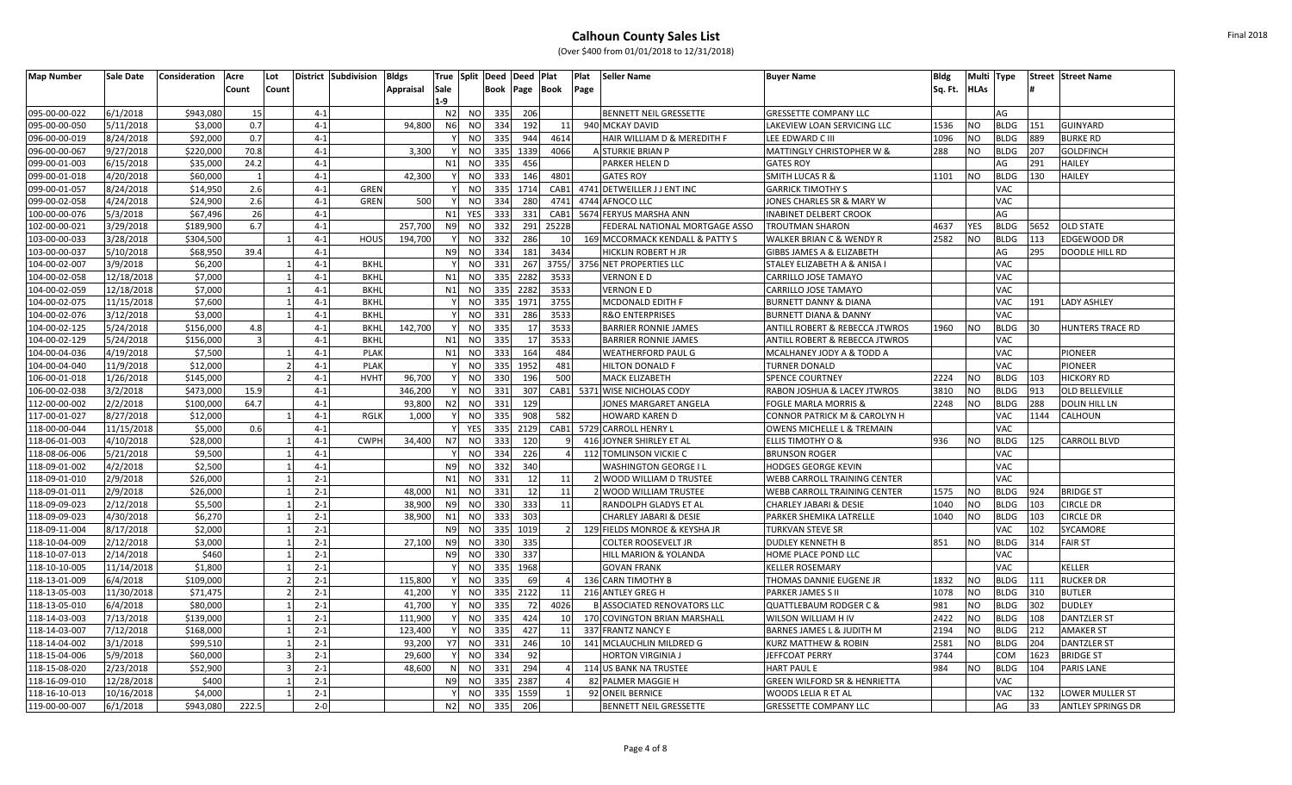| <b>Map Number</b> | Sale Date  | Consideration | Acre  | Lot   |         | District Subdivision | <b>Bldgs</b> | True Split Deed |                |             | <b>Deed</b> | Plat        | Plat<br>Seller Name                | <b>Buyer Name</b>                       | <b>Bldg</b> | Multi Type  |             |      | <b>Street Street Name</b> |
|-------------------|------------|---------------|-------|-------|---------|----------------------|--------------|-----------------|----------------|-------------|-------------|-------------|------------------------------------|-----------------------------------------|-------------|-------------|-------------|------|---------------------------|
|                   |            |               | Count | Count |         |                      | Appraisal    | Sale            |                | <b>Book</b> | Page        | <b>Book</b> | Page                               |                                         | Sq. Ft.     | <b>HLAs</b> |             |      |                           |
|                   |            |               |       |       |         |                      |              | 1-9             |                |             |             |             |                                    |                                         |             |             |             |      |                           |
| 095-00-00-022     | 6/1/2018   | \$943,080     | 15    |       | $4 - 1$ |                      |              | N <sub>2</sub>  | NO             | 335         | 206         |             | <b>BENNETT NEIL GRESSETTE</b>      | <b>GRESSETTE COMPANY LLC</b>            |             |             | AG          |      |                           |
| 095-00-00-050     | 5/11/2018  | \$3,000       | 0.7   |       | $4 - 1$ |                      | 94,800       | N <sub>6</sub>  | <b>NO</b>      | 334         | 192         | 11          | 940 MCKAY DAVID                    | LAKEVIEW LOAN SERVICING LLC             | 1536        | NO.         | <b>BLDG</b> | 151  | <b>GUINYARD</b>           |
| 096-00-00-019     | 8/24/2018  | \$92,000      | 0.7   |       | $4 - 1$ |                      |              |                 | NO.            | 335         | 944         | 4614        | HAIR WILLIAM D & MEREDITH F        | LEE EDWARD C III                        | 1096        | NΟ          | <b>BLDG</b> | 889  | <b>BURKE RD</b>           |
| 096-00-00-067     | 9/27/2018  | \$220,000     | 70.8  |       | $4 - 1$ |                      | 3,300        |                 | <b>NO</b>      | 335         | 1339        | 4066        | A STURKIE BRIAN P                  | MATTINGLY CHRISTOPHER W &               | 288         | NO          | <b>BLDG</b> | 207  | GOLDFINCH                 |
| 099-00-01-003     | 6/15/2018  | \$35,000      | 24.2  |       | $4 - 1$ |                      |              | N1              | <b>NO</b>      | 335         | 456         |             | PARKER HELEN D                     | <b>GATES ROY</b>                        |             |             | AG          | 291  | HAILEY                    |
| 099-00-01-018     | 4/20/2018  | \$60,000      |       |       | $4 - 1$ |                      | 42,300       |                 | <sub>NO</sub>  | 333         | 146         | 4801        | <b>GATES ROY</b>                   | <b>SMITH LUCAS R &amp;</b>              | 1101        | NO.         | <b>BLDG</b> | 130  | HAILEY                    |
| 099-00-01-057     | 8/24/2018  | \$14,950      | 2.6   |       | $4 - 1$ | GREN                 |              |                 | <b>NO</b>      | 335         | 1714        | CAB1        | 4741 DETWEILLER JJ ENT INC         | <b>GARRICK TIMOTHY S</b>                |             |             | VAC         |      |                           |
| 099-00-02-058     | 4/24/2018  | \$24,900      | 2.6   |       | $4 - 1$ | GREN                 | 500          |                 | NO             | 334         | 280         | 4741        | 4744 AFNOCO LLC                    | JONES CHARLES SR & MARY W               |             |             | VAC         |      |                           |
| 100-00-00-076     | 5/3/2018   | \$67.496      | 26    |       | $4 - 1$ |                      |              | N1              | <b>YES</b>     | 333         | 331         | CAB1        | 5674 FERYUS MARSHA ANN             | <b>INABINET DELBERT CROOK</b>           |             |             | AG          |      |                           |
| 102-00-00-021     | 3/29/2018  | \$189,900     | 6.7   |       | $4 - 1$ |                      | 257,700      | N <sub>9</sub>  | NO             | 332         | 291         | 2522B       | FEDERAL NATIONAL MORTGAGE ASSO     | <b>TROUTMAN SHARON</b>                  | 4637        | <b>YES</b>  | <b>BLDG</b> | 5652 | <b>OLD STATE</b>          |
| 103-00-00-033     | 3/28/2018  | \$304,500     |       |       | $4 - 1$ | <b>HOUS</b>          | 194,700      |                 | NO             | 332         | 286         | 10          | 169 MCCORMACK KENDALL & PATTY S    | <b>WALKER BRIAN C &amp; WENDY R</b>     | 2582        | NΟ          | <b>BLDG</b> | 113  | EDGEWOOD DR               |
| 103-00-00-037     | 5/10/2018  | \$68,950      | 39.4  |       | $4 - 1$ |                      |              | N <sub>9</sub>  | <b>NO</b>      | 334         | 181         | 3434        | <b>HICKLIN ROBERT H JR</b>         | GIBBS JAMES A & ELIZABETH               |             |             | AG          | 295  | DOODLE HILL RD            |
| 104-00-02-007     | 3/9/2018   | \$6,200       |       |       | $4 - 1$ | <b>BKHL</b>          |              |                 | <b>NO</b>      | 331         | 267         | 3755/       | 3756 NET PROPERTIES LLC            | STALEY ELIZABETH A & ANISA              |             |             | <b>VAC</b>  |      |                           |
| 104-00-02-058     | 12/18/2018 | \$7,000       |       |       | $4 - 1$ | <b>BKHL</b>          |              | N1              | <b>NO</b>      | 335         | 2282        | 3533        | VERNON E D                         | CARRILLO JOSE TAMAYO                    |             |             | <b>VAC</b>  |      |                           |
| 104-00-02-059     | 12/18/2018 | \$7,000       |       |       | $4 - 1$ | <b>BKHL</b>          |              | N <sub>1</sub>  | <sub>NO</sub>  | 335         | 2282        | 3533        | <b>VERNON E D</b>                  | CARRILLO JOSE TAMAYO                    |             |             | VAC         |      |                           |
| 104-00-02-075     | 11/15/2018 | \$7,600       |       |       | $4 - 1$ | <b>BKHL</b>          |              |                 | <b>NO</b>      | 335         | 1971        | 3755        | <b>MCDONALD EDITH F</b>            | <b>BURNETT DANNY &amp; DIANA</b>        |             |             | VAC         | 191  | <b>LADY ASHLEY</b>        |
| 104-00-02-076     | 3/12/2018  | \$3,000       |       |       | $4 - 1$ | <b>BKHL</b>          |              |                 | NO             | 331         | 286         | 3533        | <b>R&amp;O ENTERPRISES</b>         | <b>BURNETT DIANA &amp; DANNY</b>        |             |             | VAC         |      |                           |
| 104-00-02-125     | 5/24/2018  | \$156,000     | 4.8   |       | $4 - 1$ | <b>BKHL</b>          | 142,700      |                 | <b>NO</b>      | 335         | 17          | 3533        | <b>BARRIER RONNIE JAMES</b>        | ANTILL ROBERT & REBECCA JTWROS          | 1960        | <b>NO</b>   | <b>BLDG</b> | 130  | <b>HUNTERS TRACE RD</b>   |
| 104-00-02-129     | 5/24/2018  | \$156,000     |       |       | $4 - 1$ | <b>BKHL</b>          |              | N1              | NO             | 335         | 17          | 3533        | <b>BARRIER RONNIE JAMES</b>        | ANTILL ROBERT & REBECCA JTWROS          |             |             | VAC         |      |                           |
| 104-00-04-036     | 4/19/2018  | \$7,500       |       |       | $4 - 1$ | <b>PLAK</b>          |              | N <sub>1</sub>  | <b>NO</b>      | 333         | 164         | 484         | WEATHERFORD PAUL G                 | MCALHANEY JODY A & TODD A               |             |             | VAC         |      | <b>PIONEER</b>            |
| 104-00-04-040     | 11/9/2018  | \$12,000      |       |       | $4 - 1$ | <b>PLAK</b>          |              |                 | N <sub>O</sub> | 335         | 1952        | 481         | <b>HILTON DONALD F</b>             | <b>TURNER DONALD</b>                    |             |             | VAC         |      | <b>PIONEER</b>            |
| 106-00-01-018     | 1/26/2018  | \$145,000     |       |       | $4 - 1$ | <b>HVHT</b>          | 96,700       |                 | <sub>NO</sub>  | 330         | 196         | 500         | <b>MACK ELIZABETH</b>              | <b>SPENCE COURTNEY</b>                  | 2224        | NO.         | <b>BLDG</b> | 103  | <b>HICKORY RD</b>         |
| 106-00-02-038     | 3/2/2018   | \$473.000     | 15.9  |       | $4 - 1$ |                      | 346,200      |                 | <sub>NO</sub>  | 331         | 307         |             | CAB1 5371 WISE NICHOLAS CODY       | RABON JOSHUA & LACEY JTWROS             | 3810        | NO.         | <b>BLDG</b> | 913  | <b>OLD BELLEVILLE</b>     |
| 112-00-00-002     | 2/2/2018   | \$100,000     | 64.7  |       | $4 - 1$ |                      | 93,800       | N <sub>2</sub>  | NO             | 331         | 129         |             | JONES MARGARET ANGELA              | <b>FOGLE MARLA MORRIS &amp;</b>         | 2248        | NO          | <b>BLDG</b> | 288  | <b>DOLIN HILL LN</b>      |
| 117-00-01-027     | 8/27/2018  | \$12,000      |       |       | $4 - 1$ | <b>RGLK</b>          | 1,000        |                 | <b>NO</b>      | 335         | 908         | 582         | HOWARD KAREN D                     | CONNOR PATRICK M & CAROLYN H            |             |             | VAC         | 1144 | CALHOUN                   |
| 118-00-00-044     | 11/15/2018 | \$5,000       | 0.6   |       | $4 - 1$ |                      |              |                 | YES            | 335         | 2129        | CAB1        | 5729 CARROLL HENRY I               | OWENS MICHELLE L & TREMAIN              |             |             | VAC         |      |                           |
| 118-06-01-003     | 4/10/2018  | \$28,000      |       |       | $4 - 1$ | <b>CWPH</b>          | 34,400       | N7              | NO.            | 333         | 120         |             | 416 JOYNER SHIRLEY ET AL           | <b>ELLIS TIMOTHY O &amp;</b>            | 936         | NO          | <b>BLDG</b> | 125  | <b>CARROLL BLVD</b>       |
| 118-08-06-006     | 5/21/2018  | \$9,500       |       |       | $4 - 1$ |                      |              |                 | <b>NO</b>      | 334         | 226         |             | 112 TOMLINSON VICKIE C             | <b>BRUNSON ROGER</b>                    |             |             | VAC         |      |                           |
| 118-09-01-002     | 4/2/2018   | \$2,500       |       |       | $4 - 1$ |                      |              | <b>N9</b>       | <b>NO</b>      | 332         | 340         |             | WASHINGTON GEORGE I L              | HODGES GEORGE KEVIN                     |             |             | VAC         |      |                           |
| 118-09-01-010     | 2/9/2018   | \$26,000      |       |       | $2 - 1$ |                      |              | N <sub>1</sub>  | <b>NO</b>      | 331         | 12          | 11          | 2 WOOD WILLIAM D TRUSTEE           | <b>WEBB CARROLL TRAINING CENTER</b>     |             |             | VAC         |      |                           |
| 118-09-01-011     | 2/9/2018   | \$26,000      |       |       | $2 - 1$ |                      | 48.000       | N1              | NO.            | 331         | 12          | 11          | 2 WOOD WILLIAM TRUSTEE             | <b>WEBB CARROLL TRAINING CENTER</b>     | 1575        | NO.         | <b>BLDG</b> | 924  | <b>BRIDGE ST</b>          |
| 118-09-09-023     | 2/12/2018  | \$5,500       |       |       | $2 - 1$ |                      | 38,900       | <b>N9</b>       | NO             | 330         | 333         | 11          | RANDOLPH GLADYS ET AL              | <b>CHARLEY JABARI &amp; DESIE</b>       | 1040        | NO          | <b>BLDG</b> | 103  | <b>CIRCLE DR</b>          |
| 118-09-09-023     | 4/30/2018  | \$6,270       |       |       | $2 - 1$ |                      | 38,900       | N1              | NO             | 333         | 303         |             | CHARLEY JABARI & DESIE             | PARKER SHEMIKA LATRELLE                 | 1040        | NO.         | <b>BLDG</b> | 103  | <b>CIRCLE DR</b>          |
| 118-09-11-004     | 8/17/2018  | \$2,000       |       |       | $2 - 1$ |                      |              | N <sub>9</sub>  | NO.            | 335         | 1019        |             | 129 FIELDS MONROE & KEYSHA JR      | <b>TURKVAN STEVE SR</b>                 |             |             | VAC         | 102  | SYCAMORE                  |
| 118-10-04-009     | 2/12/2018  | \$3,000       |       |       | $2 - 1$ |                      | 27,100       | N9              | <b>NO</b>      | 330         | 335         |             | COLTER ROOSEVELT JR                | <b>DUDLEY KENNETH B</b>                 | 851         | ΝO          | <b>BLDG</b> | 314  | <b>FAIR ST</b>            |
| 118-10-07-013     | 2/14/2018  | \$460         |       |       | $2 - 1$ |                      |              | N <sub>9</sub>  | <b>NO</b>      | 330         | 337         |             | HILL MARION & YOLANDA              | HOME PLACE POND LLC                     |             |             | VAC         |      |                           |
| 118-10-10-005     | 11/14/2018 | \$1,800       |       |       | $2 - 1$ |                      |              |                 | <sub>NO</sub>  | 335         | 1968        |             | <b>GOVAN FRANK</b>                 | <b>KELLER ROSEMARY</b>                  |             |             | VAC         |      | KELLER                    |
| 118-13-01-009     | 6/4/2018   | \$109,000     |       |       | $2 - 1$ |                      | 115,800      |                 | <b>NO</b>      | 335         | 69          |             | 136 CARN TIMOTHY B                 | THOMAS DANNIE EUGENE JR                 | 1832        | NO.         | <b>BLDG</b> | 111  | <b>RUCKER DR</b>          |
| 118-13-05-003     | 11/30/2018 | \$71,475      |       |       | $2 - 1$ |                      | 41,200       |                 | <b>NO</b>      | 335         | 2122        | 11          | 216 ANTLEY GREG H                  | <b>PARKER JAMES S II</b>                | 1078        | NO.         | <b>BLDG</b> | 310  | <b>BUTLER</b>             |
| 118-13-05-010     | 6/4/2018   | \$80,000      |       |       | $2 - 1$ |                      | 41,700       |                 | <b>NO</b>      | 335         | 72          | 4026        | <b>B ASSOCIATED RENOVATORS LLC</b> | <b>QUATTLEBAUM RODGER C &amp;</b>       | 981         | NO.         | <b>BLDG</b> | 302  | <b>DUDLEY</b>             |
| 118-14-03-003     | 7/13/2018  | \$139,000     |       |       | $2 - 1$ |                      | 111,900      |                 | <sub>NO</sub>  | 335         | 424         | 10          | 170 COVINGTON BRIAN MARSHALL       | WILSON WILLIAM H IV                     | 2422        | NO.         | <b>BLDG</b> | 108  | <b>DANTZLER ST</b>        |
| 118-14-03-007     | 7/12/2018  | \$168,000     |       |       | $2 - 1$ |                      | 123,400      |                 | <b>NO</b>      | 335         | 427         | 11          | 337 FRANTZ NANCY E                 | BARNES JAMES L & JUDITH M               | 2194        | NO          | <b>BLDG</b> | 212  | <b>AMAKER ST</b>          |
| 118-14-04-002     | 3/1/2018   | \$99,510      |       |       | $2 - 1$ |                      | 93,200       | <b>Y7</b>       | <b>NO</b>      | 331         | 246         | 10          | 141 MCLAUCHLIN MILDRED G           | <b>KURZ MATTHEW &amp; ROBIN</b>         | 2581        | NO.         | <b>BLDG</b> | 204  | <b>DANTZLER ST</b>        |
| 118-15-04-006     | 5/9/2018   | \$60,000      |       |       | $2 - 1$ |                      | 29,600       |                 | NO             | 334         | 92          |             | <b>HORTON VIRGINIA J</b>           | JEFFCOAT PERRY                          | 3744        |             | COM         | 1623 | <b>BRIDGE ST</b>          |
| 118-15-08-020     | 2/23/2018  | \$52.900      |       |       | $2 - 1$ |                      | 48,600       |                 | <sub>NO</sub>  | 331         | 294         |             | 114 US BANK NA TRUSTEE             | <b>HART PAUL E</b>                      | 984         | NO.         | <b>BLDG</b> | 104  | PARIS LANE                |
| 118-16-09-010     | 12/28/2018 | \$400         |       |       | $2 - 1$ |                      |              | N9              | NO             | 335         | 2387        |             | 82 PALMER MAGGIE H                 | <b>GREEN WILFORD SR &amp; HENRIETTA</b> |             |             | VAC         |      |                           |
| 118-16-10-013     | 10/16/2018 | \$4,000       |       |       | $2 - 1$ |                      |              |                 | <b>NO</b>      | 335         | 1559        |             | 92 ONEIL BERNICE                   | WOODS LELIA R ET AL                     |             |             | VAC         | 132  | <b>LOWER MULLER ST</b>    |
|                   |            |               |       |       | $2 - 0$ |                      |              |                 | NO             | 335         |             |             |                                    |                                         |             |             |             |      |                           |
| 119-00-00-007     | 6/1/2018   | \$943,080     | 222.5 |       |         |                      |              | N <sub>2</sub>  |                |             | 206         |             | <b>BENNETT NEIL GRESSETTE</b>      | <b>GRESSETTE COMPANY LLC</b>            |             |             | AG          | 33   | <b>ANTLEY SPRINGS DR</b>  |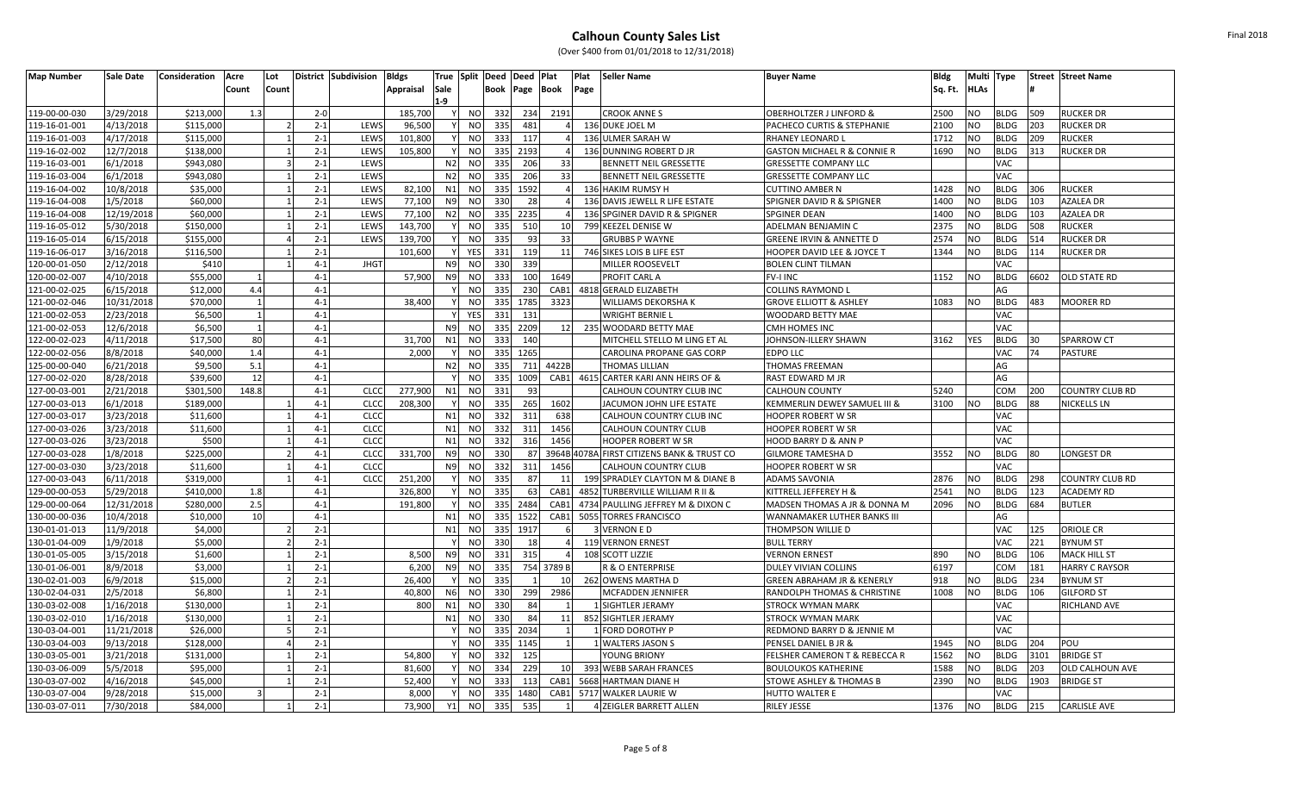| <b>Map Number</b> | Sale Date  | <b>Consideration</b> | Acre         | Lot   |         | District Subdivision | <b>Bldgs</b>     | True Split Deed |                |      | Deed Plat |                 | Plat<br>Seller Name                        | <b>Buyer Name</b>                      | <b>Bldg</b> |             | Multi Type  |      | <b>Street Street Name</b> |
|-------------------|------------|----------------------|--------------|-------|---------|----------------------|------------------|-----------------|----------------|------|-----------|-----------------|--------------------------------------------|----------------------------------------|-------------|-------------|-------------|------|---------------------------|
|                   |            |                      | Count        | Count |         |                      | <b>Appraisal</b> | Sale            |                | Book | Page      | <b>Book</b>     | Page                                       |                                        | Sq. Ft.     | <b>HLAs</b> |             |      |                           |
|                   |            |                      |              |       |         |                      |                  | 1-9             |                |      |           |                 |                                            |                                        |             |             |             |      |                           |
| 119-00-00-030     | 3/29/2018  | \$213,000            | 1.3          |       | $2 - 0$ |                      | 185,700          | Y               | NO.            | 332  | 234       | 2191            | <b>CROOK ANNES</b>                         | OBERHOLTZER J LINFORD &                | 2500        | <b>NO</b>   | <b>BLDG</b> | 509  | <b>RUCKER DR</b>          |
| 119-16-01-001     | 4/13/2018  | \$115,000            |              |       | $2 - 1$ | LEWS                 | 96,500           |                 | <b>NO</b>      | 335  | 481       |                 | 136 DUKE JOEL M                            | PACHECO CURTIS & STEPHANIE             | 2100        | <b>NO</b>   | <b>BLDG</b> | 203  | <b>RUCKER DR</b>          |
| 119-16-01-003     | 4/17/2018  | \$115,000            |              |       | $2 - 1$ | LEWS                 | 101,800          | $\mathsf{v}$    | <b>NO</b>      | 333  | 117       |                 | 136 ULMER SARAH W                          | RHANEY LEONARD L                       | 1712        | <b>NO</b>   | <b>BLDG</b> | 209  | <b>RUCKER</b>             |
| 119-16-02-002     | 12/7/2018  | \$138,000            |              |       | $2 - 1$ | LEWS                 | 105,800          |                 | <sub>NO</sub>  | 335  | 2193      |                 | 136 DUNNING ROBERT D JR                    | <b>GASTON MICHAEL R &amp; CONNIE R</b> | 1690        | <b>NO</b>   | <b>BLDG</b> | 313  | <b>RUCKER DR</b>          |
| 119-16-03-001     | 6/1/2018   | \$943,080            |              |       | $2 - 1$ | LEWS                 |                  | N <sub>2</sub>  | NO             | 335  | 206       | 33              | <b>BENNETT NEIL GRESSETTE</b>              | GRESSETTE COMPANY LLC                  |             |             | VAC         |      |                           |
| 119-16-03-004     | 6/1/2018   | \$943,080            |              |       | $2 - 1$ | LEWS                 |                  | N <sub>2</sub>  | <sub>NO</sub>  | 335  | 206       | 33              | <b>BENNETT NEIL GRESSETTE</b>              | <b>GRESSETTE COMPANY LLC</b>           |             |             | VAC         |      |                           |
| 119-16-04-002     | 10/8/2018  | \$35,000             |              |       | $2 - 1$ | LEWS                 | 82,100           | N1              | <sub>NO</sub>  | 335  | 1592      |                 | 136 HAKIM RUMSY H                          | CUTTINO AMBER N                        | 1428        | <b>NO</b>   | <b>BLDG</b> | 306  | <b>RUCKER</b>             |
| 119-16-04-008     | 1/5/2018   | \$60,000             |              |       | $2 - 1$ | LEWS                 | 77,100           | N <sub>9</sub>  | N <sub>O</sub> | 330  | 28        |                 | 136 DAVIS JEWELL R LIFE ESTATE             | SPIGNER DAVID R & SPIGNER              | 1400        | <b>NO</b>   | <b>BLDG</b> | 103  | <b>AZALEA DR</b>          |
| 119-16-04-008     | 12/19/2018 | \$60,000             |              |       | $2 - 1$ | LEWS                 | 77,100           | N <sub>2</sub>  | NO             | 335  | 2235      |                 | 136 SPGINER DAVID R & SPIGNER              | SPGINER DEAN                           | 1400        | <b>NO</b>   | <b>BLDG</b> | 103  | <b>AZALEA DR</b>          |
| 119-16-05-012     | 5/30/2018  | \$150,000            |              |       | $2 - 1$ | LEWS                 | 143,700          |                 | N <sub>O</sub> | 335  | 510       | 10              | 799 KEEZEL DENISE W                        | ADELMAN BENJAMIN C                     | 2375        | <b>NO</b>   | BLDG        | 508  | <b>RUCKER</b>             |
| 119-16-05-014     | 6/15/2018  | \$155,000            |              |       | $2 - 1$ | LEWS                 | 139,700          |                 | <b>NO</b>      | 335  | 93        | 33              | <b>GRUBBS P WAYNE</b>                      | GREENE IRVIN & ANNETTE D               | 2574        | <b>NO</b>   | <b>BLDG</b> | 514  | <b>RUCKER DR</b>          |
| 119-16-06-017     | 3/16/2018  | \$116,500            |              |       | $2 - 1$ |                      | 101,600          |                 | <b>YES</b>     | 331  | 119       | 11              | 746 SIKES LOIS B LIFE EST                  | HOOPER DAVID LEE & JOYCE T             | 1344        | <b>NO</b>   | <b>BLDG</b> | 114  | <b>RUCKER DR</b>          |
| 120-00-01-050     | 2/12/2018  | \$410                |              |       | $4 - 1$ | <b>JHGT</b>          |                  | N <sub>9</sub>  | <b>NO</b>      | 330  | 339       |                 | <b>MILLER ROOSEVELT</b>                    | <b>BOLEN CLINT TILMAN</b>              |             |             | VAC         |      |                           |
| 120-00-02-007     | 4/10/2018  | \$55,000             |              |       | $4 - 1$ |                      | 57,900           | N <sub>9</sub>  | NO             | 333  | 100       | 1649            | <b>PROFIT CARL A</b>                       | <b>FV-I INC</b>                        | 1152        | <b>NO</b>   | <b>BLDG</b> | 6602 | <b>OLD STATE RD</b>       |
| 121-00-02-025     | 6/15/2018  | \$12,000             | 4.4          |       | $4 - 1$ |                      |                  |                 | <b>NO</b>      | 335  | 230       | CAB1            | 4818 GERALD ELIZABETH                      | COLLINS RAYMOND L                      |             |             | AG          |      |                           |
| 121-00-02-046     | 10/31/2018 | \$70,000             |              |       | $4 - 1$ |                      | 38,400           |                 | <sub>NO</sub>  | 335  | 1785      | 3323            | <b>WILLIAMS DEKORSHA K</b>                 | GROVE ELLIOTT & ASHLEY                 | 1083        | <b>NO</b>   | <b>BLDG</b> | 483  | <b>MOORER RD</b>          |
| 121-00-02-053     | 2/23/2018  | \$6,500              | $\mathbf{1}$ |       | $4 - 1$ |                      |                  |                 | <b>YES</b>     | 331  | 131       |                 | <b>WRIGHT BERNIE I</b>                     | WOODARD BETTY MAE                      |             |             | VAC         |      |                           |
| 121-00-02-053     | 12/6/2018  | \$6,500              |              |       | $4 - 1$ |                      |                  | N <sub>9</sub>  | N <sub>O</sub> | 335  | 2209      | 12              | 235 WOODARD BETTY MAE                      | CMH HOMES INC                          |             |             | VAC         |      |                           |
| 122-00-02-023     | 4/11/2018  | \$17,500             | 80           |       | $4 - 1$ |                      | 31,700           | N <sub>1</sub>  | <b>NO</b>      | 333  | 140       |                 | MITCHELL STELLO M LING ET AL               | <b>OHNSON-ILLERY SHAWN</b>             | 3162        | <b>YES</b>  | BLDG        | 30   | <b>SPARROW CT</b>         |
| 122-00-02-056     | 8/8/2018   | \$40,000             | 1.4          |       | $4 - 1$ |                      | 2.000            |                 | <sub>NO</sub>  | 335  | 1265      |                 | CAROLINA PROPANE GAS CORP                  | EDPO LLC                               |             |             | VAC         | 74   | <b>PASTURE</b>            |
| 125-00-00-040     | 6/21/2018  | \$9,500              | 5.1          |       | $4 - 1$ |                      |                  | N <sub>2</sub>  | N <sub>O</sub> | 335  | 711       | 4422B           | THOMAS LILLIAN                             | THOMAS FREEMAN                         |             |             | AG          |      |                           |
| 127-00-02-020     | 8/28/2018  | \$39,600             | 12           |       | $4 - 1$ |                      |                  |                 | <sub>NO</sub>  | 335  | 1009      | CAB1            | 4615 CARTER KARI ANN HEIRS OF &            | RAST EDWARD M JR                       |             |             | AG          |      |                           |
| 127-00-03-001     | 2/21/2018  | \$301,500            | 148.8        |       | $4 - 1$ | <b>CLCC</b>          | 277,900          | N1              | <b>NO</b>      | 331  | 93        |                 | CALHOUN COUNTRY CLUB INC                   | <b>CALHOUN COUNTY</b>                  | 5240        |             | COM         | 200  | <b>COUNTRY CLUB RD</b>    |
| 127-00-03-013     | 6/1/2018   | \$189,000            |              |       | $4 - 1$ | <b>CLCC</b>          | 208,300          |                 | N <sub>O</sub> | 335  | 265       | 1602            | JACUMON JOHN LIFE ESTATE                   | KEMMERLIN DEWEY SAMUEL III &           | 3100        | <b>NO</b>   | <b>BLDG</b> | 88   | <b>NICKELLS LN</b>        |
| 127-00-03-017     | 3/23/2018  | \$11,600             |              |       | $4 - 1$ | CLCC                 |                  | N1              | <b>NO</b>      | 332  | 311       | 638             | CALHOUN COUNTRY CLUB INC                   | <b>HOOPER ROBERT W SR</b>              |             |             | VAC         |      |                           |
| 127-00-03-026     | 3/23/2018  | \$11,600             |              |       | $4 - 1$ | <b>CLCC</b>          |                  | N <sub>1</sub>  | <b>NO</b>      | 332  | 311       | 1456            | <b>CALHOUN COUNTRY CLUB</b>                | <b>HOOPER ROBERT W SR</b>              |             |             | VAC         |      |                           |
| 127-00-03-026     | 3/23/2018  | \$500                |              |       | $4 - 1$ | <b>CLCC</b>          |                  | N <sub>1</sub>  | <b>NO</b>      | 332  | 316       | 1456            | <b>HOOPER ROBERT W SR</b>                  | <b>HOOD BARRY D &amp; ANN P</b>        |             |             | VAC         |      |                           |
| 127-00-03-028     | 1/8/2018   | \$225,000            |              |       | $4 - 1$ | <b>CLCC</b>          | 331,700          | N <sub>9</sub>  | <b>NO</b>      | 330  | 87        |                 | 3964B 4078A FIRST CITIZENS BANK & TRUST CO | GILMORE TAMESHA D                      | 3552        | <b>NO</b>   | <b>BLDG</b> | 80   | <b>LONGEST DR</b>         |
| 127-00-03-030     | 3/23/2018  | \$11,600             |              |       | $4 - 1$ | <b>CLCC</b>          |                  | N9              | <b>NO</b>      | 332  | 311       | 1456            | <b>CALHOUN COUNTRY CLUB</b>                | HOOPER ROBERT W SR                     |             |             | VAC         |      |                           |
| 127-00-03-043     | 6/11/2018  | \$319,000            |              |       | $4 - 1$ | <b>CLCC</b>          | 251,200          |                 | <b>NO</b>      | 335  | 87        | 11              | 199 SPRADLEY CLAYTON M & DIANE B           | <b>ADAMS SAVONIA</b>                   | 2876        | <b>NO</b>   | <b>BLDG</b> | 298  | <b>COUNTRY CLUB RD</b>    |
| 129-00-00-053     | 5/29/2018  | \$410,000            | 1.8          |       | $4 - 1$ |                      | 326,800          |                 | <sub>NO</sub>  | 335  | 63        | CAB1            | 4852 TURBERVILLE WILLIAM R II &            | KITTRELL JEFFEREY H &                  | 2541        | <b>NO</b>   | <b>BLDG</b> | 123  | <b>ACADEMY RD</b>         |
| 129-00-00-064     | 12/31/2018 | \$280,000            | 2.5          |       | $4 - 1$ |                      | 191,800          |                 | <sub>NO</sub>  | 335  | 2484      | CAB1            | 4734 PAULLING JEFFREY M & DIXON C          | MADSEN THOMAS A JR & DONNA M           | 2096        | <b>NO</b>   | <b>BLDG</b> | 684  | <b>BUTLER</b>             |
| 130-00-00-036     | 10/4/2018  | \$10,000             | 10           |       | $4 - 1$ |                      |                  | N1              | N <sub>O</sub> | 335  | 1522      | CAB1            | 5055 TORRES FRANCISCO                      | WANNAMAKER LUTHER BANKS III            |             |             | AG          |      |                           |
| 130-01-01-013     | 11/9/2018  | \$4,000              |              |       | $2 - 1$ |                      |                  | N1              | NO             | 335  | 1917      |                 | <b>3 VERNON E D</b>                        | THOMPSON WILLIE D                      |             |             | VAC         | 125  | <b>ORIOLE CR</b>          |
| 130-01-04-009     | 1/9/2018   | \$5,000              |              |       | $2 - 1$ |                      |                  |                 | <sub>NO</sub>  | 330  | 18        |                 | 119 VERNON ERNEST                          | <b>BULL TERRY</b>                      |             |             | VAC         | 221  | <b>BYNUM ST</b>           |
| 130-01-05-005     | 3/15/2018  | \$1,600              |              |       | $2 - 1$ |                      | 8,500            | N <sub>9</sub>  | <sub>NO</sub>  | 331  | 315       |                 | 108 SCOTT LIZZIE                           | <b>VERNON ERNEST</b>                   | 890         | <b>NO</b>   | <b>BLDG</b> | 106  | <b>MACK HILL ST</b>       |
| 130-01-06-001     | 8/9/2018   | \$3,000              |              |       | $2 - 1$ |                      | 6,200            | N <sub>9</sub>  | <b>NO</b>      | 335  | 754       | 3789 B          | R & O ENTERPRISE                           | DULEY VIVIAN COLLINS                   | 6197        |             | COM         | 181  | <b>HARRY C RAYSOR</b>     |
| 130-02-01-003     | 6/9/2018   | \$15,000             |              |       | $2 - 1$ |                      | 26,400           |                 | N <sub>O</sub> | 335  |           | 10              | 262 OWENS MARTHA D                         | <b>GREEN ABRAHAM JR &amp; KENERLY</b>  | 918         | <b>NO</b>   | <b>BLDG</b> | 234  | <b>BYNUM ST</b>           |
| 130-02-04-031     | 2/5/2018   | \$6,800              |              |       | $2 - 1$ |                      | 40,800           | N <sub>6</sub>  | <b>NO</b>      | 330  | 299       | 2986            | <b>MCFADDEN JENNIFER</b>                   | RANDOLPH THOMAS & CHRISTINE            | 1008        | <b>NO</b>   | <b>BLDG</b> | 106  | <b>GILFORD ST</b>         |
| 130-03-02-008     | 1/16/2018  | \$130,000            |              |       | $2 - 1$ |                      | 800              | N1              | <b>NO</b>      | 330  | 84        |                 | 1 SIGHTLER JERAMY                          | <b>STROCK WYMAN MARK</b>               |             |             | VAC         |      | <b>RICHLAND AVE</b>       |
| 130-03-02-010     | 1/16/2018  | \$130,000            |              |       | $2 - 1$ |                      |                  | N1              | <b>NO</b>      | 330  | 84        | 11              | 852 SIGHTLER JERAMY                        | <b>STROCK WYMAN MARK</b>               |             |             | VAC         |      |                           |
| 130-03-04-001     | 11/21/2018 | \$26,000             |              |       | $2 - 1$ |                      |                  |                 | NO             | 335  | 2034      |                 | 1 FORD DOROTHY P                           | REDMOND BARRY D & JENNIE M             |             |             | VAC         |      |                           |
| 130-03-04-003     | 9/13/2018  | \$128,000            |              |       | $2 - 1$ |                      |                  |                 | <b>NO</b>      | 335  | 1145      |                 | 1 WALTERS JASON S                          | PENSEL DANIEL B JR &                   | 1945        | <b>NO</b>   | BLDG        | 204  | POU                       |
| 130-03-05-001     | 3/21/2018  | \$131.000            |              |       | $2 - 1$ |                      | 54.800           |                 | <b>NO</b>      | 332  | 125       |                 | YOUNG BRIONY                               | FELSHER CAMERON T & REBECCA R          | 1562        | <b>NO</b>   | <b>BLDG</b> | 3101 | <b>BRIDGE ST</b>          |
| 130-03-06-009     | 5/5/2018   | \$95,000             |              |       | $2 - 1$ |                      | 81,600           |                 | <b>NO</b>      | 334  | 229       | 10 <sup>1</sup> | 393 WEBB SARAH FRANCES                     | <b>BOULOUKOS KATHERINE</b>             | 1588        | <b>NO</b>   | <b>BLDG</b> | 203  | <b>OLD CALHOUN AVE</b>    |
| 130-03-07-002     | 4/16/2018  | \$45,000             |              |       | $2 - 1$ |                      | 52,400           |                 | NO             | 333  | 113       | CAB1            | 5668 HARTMAN DIANE H                       | STOWE ASHLEY & THOMAS B                | 2390        | <b>NO</b>   | <b>BLDG</b> | 1903 | <b>BRIDGE ST</b>          |
| 130-03-07-004     | 9/28/2018  | \$15,000             | 3            |       | $2 - 1$ |                      | 8,000            |                 | N <sub>O</sub> | 335  | 1480      | CAB1            | 5717 WALKER LAURIE W                       | HUTTO WALTER E                         |             |             | VAC         |      |                           |
| 130-03-07-011     | 7/30/2018  | \$84,000             |              |       | $2 - 1$ |                      | 73,900           | Y1              | <b>NO</b>      | 335  | 535       | -1              | 4 ZEIGLER BARRETT ALLEN                    | RILEY JESSE                            | 1376        | <b>NO</b>   | BLDG        | 215  | <b>CARLISLE AVE</b>       |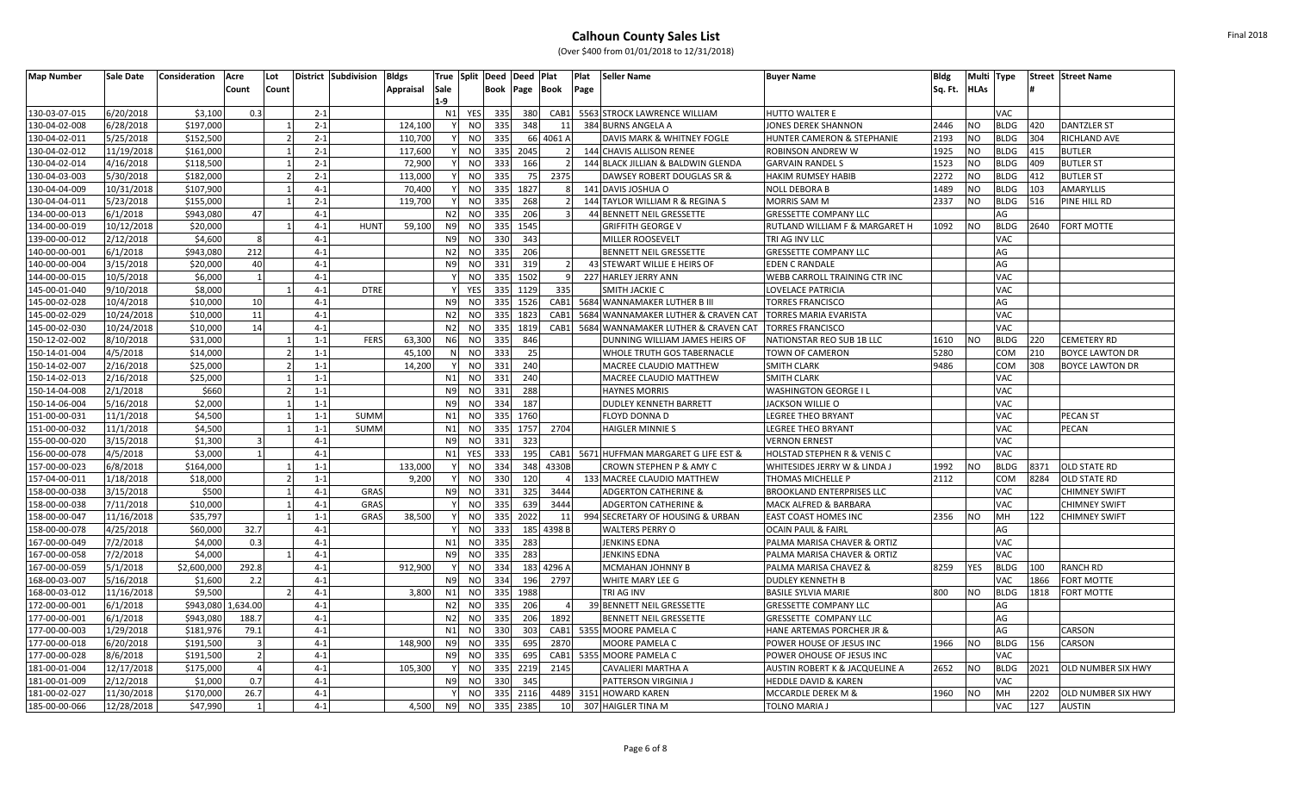| <b>Map Number</b>              | Sale Date               | <b>Consideration</b> | Acre  | Lot   |         | District Subdivision | <b>Bldgs</b>     | True Split Deed |                             |            | Deed        | Plat         | Plat<br>Seller Name                        | <b>Buyer Name</b>                | <b>Bldg</b> | Multi Type  |             |      | <b>Street Street Name</b> |
|--------------------------------|-------------------------|----------------------|-------|-------|---------|----------------------|------------------|-----------------|-----------------------------|------------|-------------|--------------|--------------------------------------------|----------------------------------|-------------|-------------|-------------|------|---------------------------|
|                                |                         |                      | Count | Count |         |                      | <b>Appraisal</b> | Sale            |                             | Book       | Page        | <b>Book</b>  | Page                                       |                                  | Sq. Ft.     | <b>HLAs</b> |             |      |                           |
|                                |                         |                      |       |       |         |                      |                  | 1-9             |                             |            |             |              |                                            |                                  |             |             |             |      |                           |
| 130-03-07-015                  | 6/20/2018               | \$3,100              | 0.3   |       | $2 - 1$ |                      |                  | N1              | <b>YES</b>                  | 335        | 380         | CAB1         | 5563 STROCK LAWRENCE WILLIAM               | HUTTO WALTER E                   |             |             | VAC         |      |                           |
| 130-04-02-008                  | 6/28/2018               | \$197,000            |       |       | $2 - 1$ |                      | 124,100          |                 | <b>NO</b>                   | 335        | 348         | 11           | 384 BURNS ANGELA A                         | <b>JONES DEREK SHANNON</b>       | 2446        | <b>NO</b>   | <b>BLDG</b> | 420  | <b>DANTZLER ST</b>        |
| 130-04-02-011                  | 5/25/2018               | \$152,500            |       |       | $2 - 1$ |                      | 110,700          |                 | <sub>NO</sub>               | 335        |             | 66 4061 A    | DAVIS MARK & WHITNEY FOGLE                 | HUNTER CAMERON & STEPHANIE       | 2193        | <b>NO</b>   | <b>BLDG</b> | 304  | RICHLAND AVE              |
| 130-04-02-012                  | 11/19/2018              | \$161,000            |       |       | $2 - 1$ |                      | 117,600          |                 | <b>NO</b>                   | 335        | 2045        |              | <b>144 CHAVIS ALLISON RENEE</b>            | ROBINSON ANDREW W                | 1925        | <b>NO</b>   | <b>BLDG</b> | 415  | <b>BUTLER</b>             |
| 130-04-02-014                  | 4/16/2018               | \$118,500            |       |       | $2 - 1$ |                      | 72,900           |                 | <b>NO</b>                   | 333        | 166         |              | 144 BLACK JILLIAN & BALDWIN GLENDA         | <b>GARVAIN RANDEL S</b>          | 1523        | <b>NO</b>   | <b>BLDG</b> | 409  | <b>BUTLER ST</b>          |
| 130-04-03-003                  | 5/30/2018               | \$182,000            |       |       | $2 - 1$ |                      | 113,000          |                 | N <sub>O</sub>              | 335        | 75          | 2375         | DAWSEY ROBERT DOUGLAS SR &                 | <b>HAKIM RUMSEY HABIB</b>        | 2272        | <b>NO</b>   | <b>BLDG</b> | 412  | <b>BUTLER ST</b>          |
| 130-04-04-009                  | 10/31/2018              | \$107,900            |       |       | $4 - 1$ |                      | 70,400           |                 | N <sub>O</sub>              | 335        | 1827        |              | 141 DAVIS JOSHUA O                         | <b>NOLL DEBORA B</b>             | 1489        | <b>NO</b>   | <b>BLDG</b> | 103  | <b>AMARYLLIS</b>          |
| 130-04-04-011                  | 5/23/2018               | \$155,000            |       |       | $2 - 1$ |                      | 119,700          |                 | NO                          | 335        | 268         |              | 144 TAYLOR WILLIAM R & REGINA S            | <b>MORRIS SAM M</b>              | 2337        | <b>NO</b>   | <b>BLDG</b> | 516  | PINE HILL RD              |
| 134-00-00-013                  | 6/1/2018                | \$943.080            | 47    |       | $4 - 1$ |                      |                  | N <sub>2</sub>  | <b>NO</b>                   | 335        | 206         |              | 44 BENNETT NEIL GRESSETTE                  | <b>GRESSETTE COMPANY LLC</b>     |             |             | AG          |      |                           |
| 134-00-00-019                  | 10/12/2018              | \$20,000             |       |       | $4 - 1$ | <b>HUNT</b>          | 59,100           | N9              | N <sub>O</sub>              | 335        | 1545        |              | <b>GRIFFITH GEORGE V</b>                   | RUTLAND WILLIAM F & MARGARET H   | 1092        | <b>NO</b>   | <b>BLDG</b> | 2640 | <b>FORT MOTTE</b>         |
| 139-00-00-012                  | 2/12/2018               | \$4,600              | -8    |       | $4 - 1$ |                      |                  | N <sub>9</sub>  | <b>NO</b>                   | 330        | 343         |              | MILLER ROOSEVELT                           | TRI AG INV LLC                   |             |             | VAC         |      |                           |
| 140-00-00-001                  | 6/1/2018                | \$943,080            | 212   |       | $4 - 1$ |                      |                  | N <sub>2</sub>  | <b>NO</b>                   | 335        | 206         |              | <b>BENNETT NEIL GRESSETTE</b>              | <b>GRESSETTE COMPANY LLC</b>     |             |             | AG          |      |                           |
| 140-00-00-004                  | 3/15/2018               | \$20,000             | 40    |       | $4 - 1$ |                      |                  | N <sub>9</sub>  | <b>NO</b>                   | 331        | 319         |              | 43 STEWART WILLIE E HEIRS OF               | <b>EDEN C RANDALE</b>            |             |             | AG          |      |                           |
| 144-00-00-015                  | 10/5/2018               | \$6,000              |       |       | $4 - 1$ |                      |                  |                 | <b>NO</b>                   | 335        | 1502        |              | 227 HARLEY JERRY ANN                       | WEBB CARROLL TRAINING CTR INC    |             |             | VAC         |      |                           |
| 145-00-01-040                  | 9/10/2018               | \$8,000              |       |       | $4 - 1$ | <b>DTRE</b>          |                  |                 | <b>YES</b>                  | 335        | 1129        | 335          | <b>SMITH JACKIE C</b>                      | LOVELACE PATRICIA                |             |             | VAC         |      |                           |
| 145-00-02-028                  | 10/4/2018               | \$10,000             | 10    |       | $4 - 1$ |                      |                  | N9              | N <sub>O</sub>              | 335        | 1526        | CAB1         | 5684 WANNAMAKER LUTHER B III               | <b>TORRES FRANCISCO</b>          |             |             | AG          |      |                           |
| 145-00-02-029                  | 10/24/2018              | \$10,000             | 11    |       | $4 - 1$ |                      |                  | N <sub>2</sub>  | <b>NO</b>                   | 335        | 1823        | CAB1         | 5684 WANNAMAKER LUTHER & CRAVEN CAT        | TORRES MARIA EVARISTA            |             |             | VAC         |      |                           |
| 145-00-02-030                  | 10/24/2018              | \$10,000             | 14    |       | $4 - 1$ |                      |                  | N <sub>2</sub>  | <sub>NO</sub>               | 335        | 1819        | CAB1         | 5684 WANNAMAKER LUTHER & CRAVEN CAT        | <b>TORRES FRANCISCO</b>          |             |             | VAC         |      |                           |
| 150-12-02-002                  | 8/10/2018               | \$31,000             |       |       | $1 - 1$ | <b>FERS</b>          | 63,300           | N <sub>6</sub>  | <sub>NO</sub>               | 335        | 846         |              | DUNNING WILLIAM JAMES HEIRS OF             | NATIONSTAR REO SUB 1B LLC        | 1610        | <b>NO</b>   | BLDG        | 220  | <b>CEMETERY RD</b>        |
| 150-14-01-004                  | 4/5/2018                | \$14,000             |       |       | $1 - 1$ |                      | 45,100           |                 | NO                          | 333        | 25          |              | WHOLE TRUTH GOS TABERNACLE                 | TOWN OF CAMERON                  | 5280        |             | COM         | 210  | <b>BOYCE LAWTON DR</b>    |
| 150-14-02-007                  | 2/16/2018               | \$25,000             |       |       | $1 - 1$ |                      | 14,200           |                 | <sub>NO</sub>               | 331        | 240         |              | MACREE CLAUDIO MATTHEW                     | SMITH CLARK                      | 9486        |             | COM         | 308  | <b>BOYCE LAWTON DR</b>    |
| 150-14-02-013                  | 2/16/2018               | \$25,000             |       |       | $1 - 1$ |                      |                  | N1              | N <sub>O</sub>              | 331        | 240         |              | MACREE CLAUDIO MATTHEW                     | <b>SMITH CLARK</b>               |             |             | VAC         |      |                           |
| 150-14-04-008                  | 2/1/2018                | \$660                |       |       | $1 - 1$ |                      |                  | N <sub>9</sub>  | <b>NO</b>                   | 331        | 288         |              | <b>HAYNES MORRIS</b>                       | WASHINGTON GEORGE I L            |             |             | VAC         |      |                           |
| 150-14-06-004                  | 5/16/2018               | \$2,000              |       |       | $1 - 1$ |                      |                  | N <sub>9</sub>  | <b>NO</b>                   | 334        | 187         |              | <b>DUDLEY KENNETH BARRETT</b>              | JACKSON WILLIE O                 |             |             | VAC         |      |                           |
| 151-00-00-031                  | 11/1/2018               | \$4,500              |       |       | $1 - 1$ | <b>SUMM</b>          |                  | N <sub>1</sub>  | <b>NO</b>                   | 335        | 1760        |              | FLOYD DONNA D                              | <b>LEGREE THEO BRYANT</b>        |             |             | VAC         |      | <b>PECAN ST</b>           |
| 151-00-00-032                  | 11/1/2018               | \$4,500              |       |       | $1 - 1$ | <b>SUMM</b>          |                  | N1              | <b>NO</b>                   | 335        | 1757        | 2704         | <b>HAIGLER MINNIE S</b>                    | LEGREE THEO BRYANT               |             |             | VAC         |      | PECAN                     |
| 155-00-00-020                  | 3/15/2018               | \$1,300              |       |       | $4 - 1$ |                      |                  | N <sub>9</sub>  | <b>NO</b>                   | 331        | 323         |              |                                            | <b>VERNON ERNEST</b>             |             |             | VAC         |      |                           |
| 156-00-00-078                  | 4/5/2018                | \$3,000              |       |       | $4 - 1$ |                      |                  | N1              | <b>YES</b>                  | 333        | 195         | CAB1         | 5671 HUFFMAN MARGARET G LIFE EST &         | HOLSTAD STEPHEN R & VENIS C      |             |             | VAC         |      |                           |
| 157-00-00-023                  | 6/8/2018                | \$164,000            |       |       | $1 - 1$ |                      | 133,000          |                 | <b>NO</b>                   | 334        | 348         | 4330B        | <b>CROWN STEPHEN P &amp; AMY C</b>         | WHITESIDES JERRY W & LINDA .     | 1992        | <b>NO</b>   | <b>BLDG</b> | 8371 | <b>OLD STATE RD</b>       |
| 157-04-00-011                  | 1/18/2018               | \$18,000             |       |       | $1 - 1$ |                      | 9,200            |                 | N <sub>O</sub>              | 330        | 120         |              | 133 MACREE CLAUDIO MATTHEW                 | THOMAS MICHELLE P                | 2112        |             | COM         | 8284 | <b>OLD STATE RD</b>       |
| 158-00-00-038                  | 3/15/2018               | \$500                |       |       | $4 - 1$ | GRAS                 |                  | <b>N9</b>       | <sub>NO</sub>               | 331        | 325         | 3444         | <b>ADGERTON CATHERINE &amp;</b>            | <b>BROOKLAND ENTERPRISES LLC</b> |             |             | VAC         |      | <b>CHIMNEY SWIFT</b>      |
| 158-00-00-038                  | 7/11/2018               | \$10,000             |       |       | $4 - 1$ | <b>GRAS</b>          |                  |                 | <b>NO</b>                   | 335        | 639         | 3444         | <b>ADGERTON CATHERINE &amp;</b>            | MACK ALFRED & BARBARA            |             |             | VAC         |      | <b>CHIMNEY SWIFT</b>      |
| 158-00-00-047                  | 11/16/2018              | \$35,797             |       |       | $1 - 1$ | GRAS                 | 38,500           |                 | <sub>NO</sub>               | 335        | 2022        | 11           | 994 SECRETARY OF HOUSING & URBAN           | <b>EAST COAST HOMES INC</b>      | 2356        | <b>NO</b>   | MН          | 122  | <b>CHIMNEY SWIFT</b>      |
| 158-00-00-078                  | 4/25/2018               | \$60,000             | 32.7  |       | $4 - 1$ |                      |                  |                 | <sub>NO</sub>               | 333        | 185         | 4398B        | <b>WALTERS PERRY O</b>                     | <b>OCAIN PAUL &amp; FAIRL</b>    |             |             | AG          |      |                           |
| 167-00-00-049                  | 7/2/2018                | \$4,000              | 0.3   |       | $4 - 1$ |                      |                  | N1              | NO                          | 335        | 283         |              | <b>JENKINS EDNA</b>                        | PALMA MARISA CHAVER & ORTIZ      |             |             | VAC         |      |                           |
| 167-00-00-058                  | 7/2/2018                | \$4,000              |       |       | $4 - 1$ |                      |                  | N <sub>9</sub>  | <sub>NO</sub>               | 335        | 283         |              | JENKINS EDNA                               | PALMA MARISA CHAVER & ORTIZ      |             |             | VAC         |      |                           |
| 167-00-00-059                  | 5/1/2018                | \$2,600,000          | 292.8 |       | $4 - 1$ |                      | 912,900          |                 | <b>NO</b>                   | 334        | 183         | 4296 A       | <b>MCMAHAN JOHNNY B</b>                    | PALMA MARISA CHAVEZ &            | 8259        | <b>YES</b>  | <b>BLDG</b> | 100  | <b>RANCH RD</b>           |
| 168-00-03-007                  | 5/16/2018               | \$1,600              | 2.2   |       | $4 - 1$ |                      |                  | N <sub>9</sub>  | N <sub>O</sub>              | 334        | 196         | 2797         | WHITE MARY LEE G                           | <b>DUDLEY KENNETH B</b>          |             |             | VAC         | 1866 | <b>FORT MOTTE</b>         |
| 168-00-03-012                  | 11/16/2018              | \$9.500              |       |       | $4 - 1$ |                      | 3,800            | N1              | <b>NO</b>                   | 335        | 1988        |              | TRI AG INV                                 | <b>BASILE SYLVIA MARIE</b>       | 800         | <b>NO</b>   | <b>BLDG</b> | 1818 | <b>FORT MOTTE</b>         |
| 172-00-00-001                  | 6/1/2018                | \$943.080 1.634.00   |       |       | $4 - 1$ |                      |                  | N <sub>2</sub>  | <b>NO</b>                   | 335        | 206         |              | 39 BENNETT NEIL GRESSETTE                  | <b>GRESSETTE COMPANY LLC</b>     |             |             | AG          |      |                           |
| 177-00-00-001                  | 6/1/2018                | \$943,080            | 188.7 |       | $4 - 1$ |                      |                  | N <sub>2</sub>  | <b>NO</b>                   | 335        | 206         | 1892         | <b>BENNETT NEIL GRESSETTE</b>              | GRESSETTE COMPANY LLC            |             |             | AG          |      |                           |
| 177-00-00-003                  | 1/29/2018               | \$181,976            | 79.1  |       | $4 - 1$ |                      |                  | N1              | <b>NO</b>                   | 330        | 303         | CAB1         | 5355 MOORE PAMELA C                        | HANE ARTEMAS PORCHER JR &        |             |             | AG          |      | <b>CARSON</b>             |
|                                |                         | \$191,500            | -3    |       | $4 - 1$ |                      | 148,900          | N <sub>9</sub>  |                             |            | 695         | 2870         | <b>MOORE PAMELA C</b>                      |                                  | 1966        | <b>NO</b>   | <b>BLDG</b> | 156  | <b>CARSON</b>             |
| 177-00-00-018                  | 6/20/2018               |                      |       |       | $4 - 1$ |                      |                  |                 | <b>NO</b>                   | 335        |             |              |                                            | POWER HOUSE OF JESUS INC         |             |             | VAC         |      |                           |
| 177-00-00-028                  | 8/6/2018                | \$191,500            |       |       | $4 - 1$ |                      | 105,300          | N9              | N <sub>O</sub><br><b>NO</b> | 335<br>335 | 695         | CAB1<br>2145 | 5355 MOORE PAMELA C                        | POWER OHOUSE OF JESUS INC        |             |             | <b>BLDG</b> | 2021 |                           |
| 181-00-01-004<br>181-00-01-009 | 12/17/2018<br>2/12/2018 | \$175,000<br>\$1,000 | 0.7   |       | $4 - 1$ |                      |                  |                 | N <sub>O</sub>              | 330        | 2219<br>345 |              | CAVALIERI MARTHA A<br>PATTERSON VIRGINIA J | AUSTIN ROBERT K & JACQUELINE A   | 2652        | <b>NO</b>   | VAC         |      | <b>OLD NUMBER SIX HWY</b> |
|                                |                         |                      |       |       | $4 - 1$ |                      |                  | N9              | <sub>NO</sub>               |            |             |              |                                            | HEDDLE DAVID & KAREN             |             |             | MH          |      |                           |
| 181-00-02-027                  | 11/30/2018              | \$170,000            | 26.7  |       |         |                      |                  |                 |                             | 335        | 2116        | 4489         | 3151 HOWARD KAREN                          | MCCARDLE DEREK M &               | 1960        | <b>NO</b>   |             | 2202 | <b>OLD NUMBER SIX HWY</b> |
| 185-00-00-066                  | 12/28/2018              | \$47,990             |       |       | $4 - 1$ |                      | 4,500            | N9              | <b>NO</b>                   | 335        | 2385        | 10           | 307 HAIGLER TINA M                         | <b>TOLNO MARIA J</b>             |             |             | VAC         | 127  | <b>AUSTIN</b>             |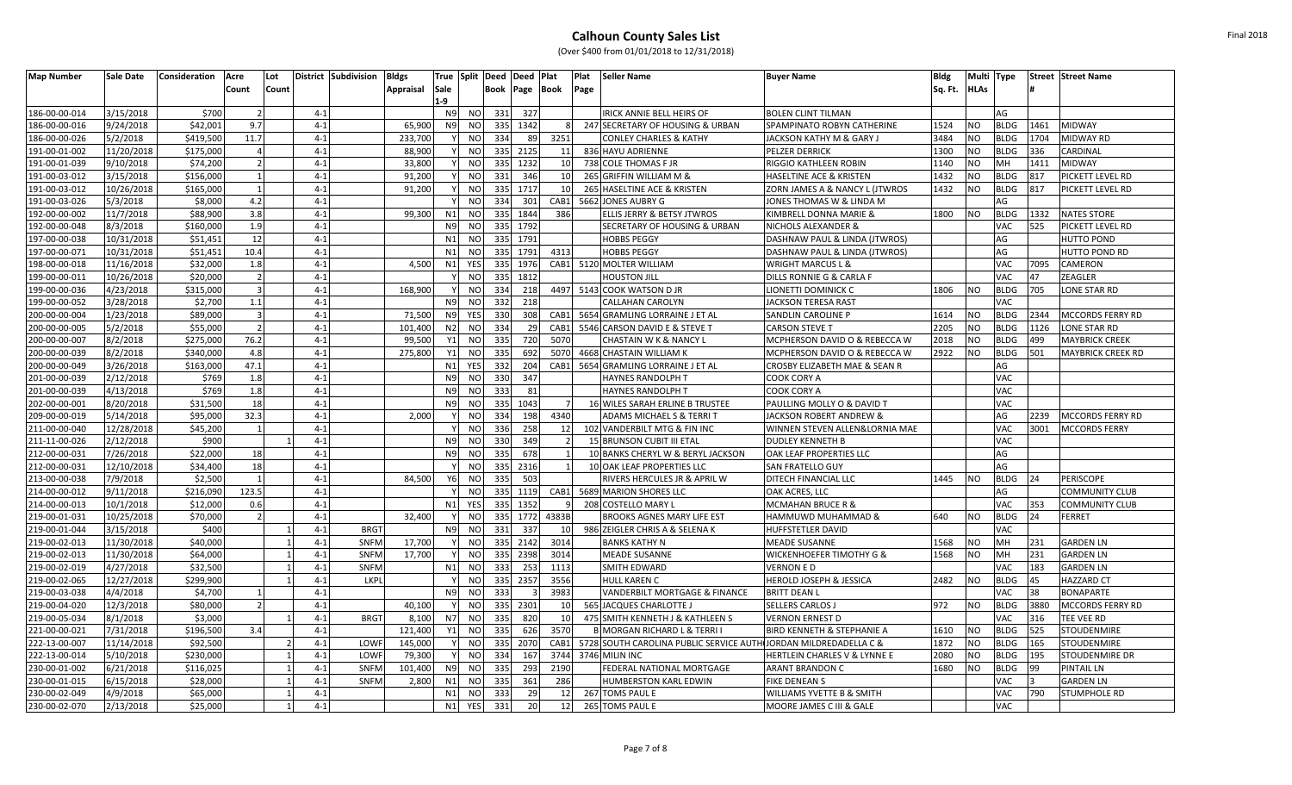| <b>Map Number</b> | <b>Sale Date</b> | <b>Consideration</b> | Acre  | Lot   |         | District Subdivision | <b>Bldgs</b>     | True Split     |                | Deed | Deed | Plat  | Plat | <b>Seller Name</b>                                               | <b>Buyer Name</b>                   | <b>Bldg</b> |             | Multi Type  |      | <b>Street Street Name</b> |
|-------------------|------------------|----------------------|-------|-------|---------|----------------------|------------------|----------------|----------------|------|------|-------|------|------------------------------------------------------------------|-------------------------------------|-------------|-------------|-------------|------|---------------------------|
|                   |                  |                      | Count | Count |         |                      | <b>Appraisal</b> | Sale           |                | Book | Page | Book  | Page |                                                                  |                                     | Sq. Ft.     | <b>HLAs</b> |             |      |                           |
|                   |                  |                      |       |       |         |                      |                  | L-9            |                |      |      |       |      |                                                                  |                                     |             |             |             |      |                           |
| 186-00-00-014     | 3/15/2018        | \$700                |       |       | $4 - 1$ |                      |                  | N <sub>9</sub> | <b>NO</b>      | 331  | 327  |       |      | <b>IRICK ANNIE BELL HEIRS OF</b>                                 | <b>BOLEN CLINT TILMAN</b>           |             |             | AG          |      |                           |
| 186-00-00-016     | 9/24/2018        | \$42,001             | 9.7   |       | $4 - 1$ |                      | 65,900           | N <sub>9</sub> | <b>NO</b>      | 335  | 1342 |       |      | 247 SECRETARY OF HOUSING & URBAN                                 | SPAMPINATO ROBYN CATHERINE          | 1524        | NO.         | BLDG        | 1461 | <b>MIDWAY</b>             |
| 186-00-00-026     | 5/2/2018         | \$419,500            | 11.7  |       | $4 - 1$ |                      | 233,700          |                | NO.            | 334  | 89   | 3251  |      | CONLEY CHARLES & KATHY                                           | <b>JACKSON KATHY M &amp; GARY J</b> | 3484        | NO          | BLDG        | 1704 | <b>MIDWAY RD</b>          |
| 191-00-01-002     | 11/20/2018       | \$175,000            |       |       | $4 - 1$ |                      | 88,900           |                | <b>NO</b>      | 335  | 2125 | 11    |      | 836 HAYU ADRIENNE                                                | <b>PELZER DERRICK</b>               | 1300        | NΟ          | <b>BLDG</b> | 336  | CARDINAL                  |
| 191-00-01-039     | 9/10/2018        | \$74,200             |       |       | $4 - 1$ |                      | 33,800           |                | N <sub>O</sub> | 335  | 1232 | 10    |      | 738 COLE THOMAS F JR                                             | RIGGIO KATHLEEN ROBIN               | 1140        | NO          | MH          | 1411 | <b>MIDWAY</b>             |
| 191-00-03-012     | 3/15/2018        | \$156,000            |       |       | $4 - 1$ |                      | 91,200           |                | <b>NC</b>      | 331  | 346  | 10    |      | 265 GRIFFIN WILLIAM M &                                          | HASELTINE ACE & KRISTEN             | 1432        | NO.         | <b>BLDG</b> | 817  | PICKETT LEVEL RD          |
| 191-00-03-012     | 10/26/2018       | \$165,000            |       |       | $4 - 1$ |                      | 91,200           |                | <b>NC</b>      | 335  | 1717 | 10    |      | 265 HASELTINE ACE & KRISTEN                                      | ZORN JAMES A & NANCY L (JTWROS      | 1432        | NO.         | <b>BLDG</b> | 817  | PICKETT LEVEL RD          |
| 191-00-03-026     | 5/3/2018         | \$8,000              | 4.2   |       | $4 - 1$ |                      |                  | Y              | <b>NO</b>      | 334  | 301  | CAB1  |      | 5662 JONES AUBRY G                                               | JONES THOMAS W & LINDA M            |             |             | AG          |      |                           |
| 192-00-00-002     | 11/7/2018        | \$88,900             | 3.8   |       | $4 - 1$ |                      | 99,300           | N1             | <b>NC</b>      | 335  | 1844 | 386   |      | <b>ELLIS JERRY &amp; BETSY JTWROS</b>                            | KIMBRELL DONNA MARIE &              | 1800        | NO          | <b>BLDG</b> | 1332 | <b>NATES STORE</b>        |
| 192-00-00-048     | 8/3/2018         | \$160,000            | 1.9   |       | $4 - 1$ |                      |                  | N <sub>9</sub> | <b>NO</b>      | 335  | 1792 |       |      | <b>SECRETARY OF HOUSING &amp; URBAN</b>                          | NICHOLS ALEXANDER &                 |             |             | VAC         | 525  | PICKETT LEVEL RD          |
| 197-00-00-038     | 10/31/2018       | \$51,451             | 12    |       | $4 - 1$ |                      |                  | N <sub>1</sub> | <b>NO</b>      | 335  | 1791 |       |      | <b>HOBBS PEGGY</b>                                               | DASHNAW PAUL & LINDA (JTWROS)       |             |             | AG          |      | <b>HUTTO POND</b>         |
| 197-00-00-071     | 10/31/2018       | \$51,451             | 10.4  |       | $4 - 1$ |                      |                  | N1             | <b>NO</b>      | 335  | 1791 | 4313  |      | <b>HOBBS PEGGY</b>                                               | DASHNAW PAUL & LINDA (JTWROS)       |             |             | AG          |      | HUTTO POND RD             |
| 198-00-00-018     | 11/16/2018       | \$32,000             | 1.8   |       | $4 - 1$ |                      | 4,500            | N1             | YES            | 335  | 1976 |       |      | CAB1 5120 MOLTER WILLIAM                                         | WRIGHT MARCUS L &                   |             |             | VAC         | 7095 | <b>CAMERON</b>            |
| 199-00-00-011     | 10/26/2018       | \$20,000             |       |       | $4 - 1$ |                      |                  | Y              | <b>NO</b>      | 335  | 1812 |       |      | <b>HOUSTON JILL</b>                                              | DILLS RONNIE G & CARLA F            |             |             | VAC         | 47   | <b>ZEAGLER</b>            |
| 199-00-00-036     | 4/23/2018        | \$315,000            |       |       | $4 - 1$ |                      | 168,900          | $\vee$         | <b>NO</b>      | 334  | 218  |       |      | 4497 5143 COOK WATSON D JR                                       | LIONETTI DOMINICK C                 | 1806        | NO          | <b>BLDG</b> | 705  | LONE STAR RD              |
| 199-00-00-052     | 3/28/2018        | \$2,700              | 1.1   |       | $4 - 1$ |                      |                  | N9             | <b>NO</b>      | 332  | 218  |       |      | <b>CALLAHAN CAROLYN</b>                                          | <b>JACKSON TERESA RAST</b>          |             |             | VAC         |      |                           |
| 200-00-00-004     | 1/23/2018        | \$89,000             |       |       | $4 - 1$ |                      | 71,500           | N <sub>9</sub> | YES            | 330  | 308  | CAB1  |      | 5654 GRAMLING LORRAINE J ET AL                                   | SANDLIN CAROLINE P                  | 1614        | NO          | BLDG        | 2344 | MCCORDS FERRY RD          |
| 200-00-00-005     | 5/2/2018         | \$55,000             |       |       | $4-1$   |                      | 101.400          | N <sub>2</sub> | NO.            | 334  | 29   | CAB1  |      | 5546 CARSON DAVID E & STEVE T                                    | <b>CARSON STEVE T</b>               | 2205        | NO          | <b>BLDG</b> | 1126 | LONE STAR RD              |
| 200-00-00-007     | 8/2/2018         | \$275,000            | 76.2  |       | $4 - 1$ |                      | 99,500           | Y1             | NO             | 335  | 720  | 5070  |      | CHASTAIN W K & NANCY L                                           | MCPHERSON DAVID O & REBECCA W       | 2018        | VO.         | <b>BLDG</b> | 499  | <b>MAYBRICK CREEK</b>     |
| 200-00-00-039     | 8/2/2018         | \$340,000            | 4.8   |       | $4 - 1$ |                      | 275,800          | <b>Y1</b>      | <b>NO</b>      | 335  | 692  | 5070  |      | 4668 CHASTAIN WILLIAM K                                          | MCPHERSON DAVID O & REBECCA W       | 2922        | NO          | <b>BLDG</b> | 501  | <b>MAYBRICK CREEK RD</b>  |
| 200-00-00-049     | 3/26/2018        | \$163,000            | 47.1  |       | $4 - 1$ |                      |                  | N1             | YES            | 332  | 204  | CAB1  |      | 5654 GRAMLING LORRAINE J ET AL                                   | CROSBY ELIZABETH MAE & SEAN R       |             |             | AG          |      |                           |
| 201-00-00-039     | 2/12/2018        | \$769                | 1.8   |       | $4 - 1$ |                      |                  | N <sub>9</sub> | NO             | 330  | 347  |       |      | <b>HAYNES RANDOLPH T</b>                                         | COOK CORY A                         |             |             | VAC         |      |                           |
| 201-00-00-039     | 4/13/2018        | \$769                | 1.8   |       | $4 - 1$ |                      |                  | N9             | N <sub>O</sub> | 333  | 81   |       |      | <b>HAYNES RANDOLPH T</b>                                         | COOK CORY A                         |             |             | VAC         |      |                           |
| 202-00-00-001     | 8/20/2018        | \$31,500             | 18    |       | $4 - 1$ |                      |                  | N <sub>9</sub> | <b>NC</b>      | 335  | 1043 |       |      | 16 WILES SARAH ERLINE B TRUSTEE                                  | PAULLING MOLLY O & DAVID T          |             |             | VAC         |      |                           |
| 209-00-00-019     | 5/14/2018        | \$95,000             | 32.3  |       | $4 - 1$ |                      | 2,000            |                | <b>NO</b>      | 334  | 198  | 4340  |      | <b>ADAMS MICHAEL S &amp; TERRIT</b>                              | JACKSON ROBERT ANDREW &             |             |             | AG          | 2239 | <b>MCCORDS FERRY RD</b>   |
| 211-00-00-040     | 12/28/2018       | \$45,200             |       |       | $4 - 1$ |                      |                  |                | <b>NO</b>      | 336  | 258  | 12    |      | 102 VANDERBILT MTG & FIN INC                                     | WINNEN STEVEN ALLEN&LORNIA MAE      |             |             | VAC         | 3001 | <b>MCCORDS FERRY</b>      |
| 211-11-00-026     | 2/12/2018        | \$900                |       |       | $4 - 1$ |                      |                  | N <sub>9</sub> | N <sub>O</sub> | 330  | 349  |       |      | 15 BRUNSON CUBIT III ETAL                                        | <b>DUDLEY KENNETH B</b>             |             |             | VAC         |      |                           |
| 212-00-00-031     | 7/26/2018        | \$22,000             | 18    |       | $4 - 1$ |                      |                  | N <sub>9</sub> | <b>NO</b>      | 335  | 678  |       |      | 10 BANKS CHERYL W & BERYL JACKSON                                | OAK LEAF PROPERTIES LLC             |             |             | AG          |      |                           |
| 212-00-00-031     | 12/10/2018       | \$34,400             | 18    |       | $4 - 1$ |                      |                  | Y              | <b>NO</b>      | 335  | 2316 |       |      | 10 OAK LEAF PROPERTIES LLC                                       | SAN FRATELLO GUY                    |             |             | AG          |      |                           |
| 213-00-00-038     | 7/9/2018         | \$2.500              |       |       | $4 - 1$ |                      | 84.500           | <b>Y6</b>      | N <sub>O</sub> | 335  | 503  |       |      | RIVERS HERCULES JR & APRIL W                                     | DITECH FINANCIAL LLC                | 1445        | NO          | <b>BLDG</b> | 24   | <b>PERISCOPE</b>          |
| 214-00-00-012     | 9/11/2018        | \$216,090            | 123.5 |       | $4 - 1$ |                      |                  | Y              | N <sub>O</sub> | 335  | 1119 | CAB1  |      | 5689 MARION SHORES LLC                                           | OAK ACRES, LLC                      |             |             | AG          |      | <b>COMMUNITY CLUB</b>     |
| 214-00-00-013     | 10/1/2018        | \$12,000             | 0.6   |       | $4 - 1$ |                      |                  | N1             | <b>YES</b>     | 335  | 1352 | q     |      | 208 COSTELLO MARY L                                              | <b>MCMAHAN BRUCE R &amp;</b>        |             |             | VAC         | 353  | <b>COMMUNITY CLUB</b>     |
| 219-00-01-031     | 10/25/2018       | \$70,000             |       |       | $4 - 1$ |                      | 32,400           |                | N <sub>O</sub> | 335  | 1772 | 4383B |      | <b>BROOKS AGNES MARY LIFE EST</b>                                | <b>AMMUWD MUHAMMAD &amp;</b>        | 640         | NO          | <b>BLDG</b> | 24   | FERRET                    |
| 219-00-01-044     | 3/15/2018        | \$400                |       |       | $4 - 1$ | <b>BRGT</b>          |                  | N <sub>9</sub> | <b>NO</b>      | 331  | 337  | 10    |      | 986 ZEIGLER CHRIS A & SELENA K                                   | HUFFSTETLER DAVID                   |             |             | VAC         |      |                           |
| 219-00-02-013     | 11/30/2018       | \$40,000             |       |       | $4 - 1$ | SNFN                 | 17.700           |                | N <sub>O</sub> | 335  | 2142 | 3014  |      | <b>BANKS KATHY N</b>                                             | <b>MEADE SUSANNE</b>                | 1568        | NO.         | MH          | 231  | <b>GARDEN LN</b>          |
| 219-00-02-013     | 11/30/2018       | \$64,000             |       |       | $4 - 1$ | SNFM                 | 17,700           |                | <b>NO</b>      | 335  | 2398 | 3014  |      | <b>MEADE SUSANNE</b>                                             | <b>WICKENHOEFER TIMOTHY G &amp;</b> | 1568        | NO.         | <b>MH</b>   | 231  | <b>GARDEN LN</b>          |
| 219-00-02-019     | 4/27/2018        | \$32,500             |       |       | $4 - 1$ | SNFM                 |                  | N1             | <b>NO</b>      | 333  | 253  | 1113  |      | <b>SMITH EDWARD</b>                                              | <b>VERNON E D</b>                   |             |             | VAC         | 183  | <b>GARDEN LN</b>          |
| 219-00-02-065     | 12/27/2018       | \$299,900            |       |       | $4 - 1$ | LKPL                 |                  | $\mathsf{v}$   | N <sub>O</sub> | 335  | 2357 | 3556  |      | <b>HULL KAREN C</b>                                              | HEROLD JOSEPH & JESSICA             | 2482        | NO          | <b>BLDG</b> | 45   | <b>HAZZARD CT</b>         |
| 219-00-03-038     | 4/4/2018         | \$4,700              |       |       | $4 - 1$ |                      |                  | <b>N9</b>      | <b>NO</b>      | 333  |      | 3983  |      | <b>VANDERBILT MORTGAGE &amp; FINANCE</b>                         | <b>BRITT DEAN I</b>                 |             |             | VAC         | 38   | <b>BONAPARTE</b>          |
| 219-00-04-020     | 12/3/2018        | \$80,000             |       |       | $4-1$   |                      | 40,100           | Y              | <b>NO</b>      | 335  | 2301 | 10    |      | 565 JACQUES CHARLOTTE                                            | <b>SELLERS CARLOS J</b>             | 972         | NO.         | <b>BLDG</b> | 3880 | <b>MCCORDS FERRY RD</b>   |
| 219-00-05-034     | 8/1/2018         | \$3,000              |       |       | $4 - 1$ | <b>BRGT</b>          | 8,100            | N7             | <b>NO</b>      | 335  | 820  | 10    |      | 475 SMITH KENNETH J & KATHLEEN S                                 | <b>VERNON ERNEST D</b>              |             |             | VAC         | 316  | TEE VEE RD                |
| 221-00-00-021     | 7/31/2018        | \$196,500            | 3.4   |       | $4 - 1$ |                      | 121,400          | Y1             | <b>NO</b>      | 335  | 626  | 3570  |      | <b>B MORGAN RICHARD L &amp; TERRI I</b>                          | BIRD KENNETH & STEPHANIE A          | 1610        | NO          | <b>BLDG</b> | 525  | STOUDENMIRE               |
| 222-13-00-007     | 11/14/2018       | \$92,500             |       |       | $4 - 1$ | LOWF                 | 145,000          |                | N <sub>O</sub> | 335  | 2070 | CAB1  |      | 5728 SOUTH CAROLINA PUBLIC SERVICE AUTHIJORDAN MILDREDADELLA C & |                                     | 1872        | NΟ          | <b>BLDG</b> | 165  | <b>STOUDENMIRE</b>        |
| 222-13-00-014     | 5/10/2018        | \$230,000            |       |       | $4 - 1$ | LOWF                 | 79,300           | Y              | N <sub>O</sub> | 334  | 167  | 3744  |      | 3746 MILIN INC                                                   | HERTLEIN CHARLES V & LYNNE E        | 2080        | <b>NO</b>   | <b>BLDG</b> | 195  | STOUDENMIRE DR            |
| 230-00-01-002     | 6/21/2018        | \$116,025            |       |       | $4 - 1$ | SNFM                 | 101,400          | N <sub>9</sub> | <b>NO</b>      | 335  | 293  | 2190  |      | FEDERAL NATIONAL MORTGAGE                                        | ARANT BRANDON C                     | 1680        | NO.         | <b>BLDG</b> | 99   | <b>PINTAIL LN</b>         |
| 230-00-01-015     | 6/15/2018        | \$28,000             |       |       | $4 - 1$ | SNFM                 | 2,800            | N <sub>1</sub> | N <sub>O</sub> | 335  | 361  | 286   |      | <b>HUMBERSTON KARL EDWIN</b>                                     | FIKE DENEAN S                       |             |             | VAC         |      | <b>GARDEN LN</b>          |
| 230-00-02-049     | 4/9/2018         | \$65,000             |       |       | $4 - 1$ |                      |                  | N1             | N <sub>O</sub> | 333  | 29   | 12    |      | 267 TOMS PAUL E                                                  | WILLIAMS YVETTE B & SMITH           |             |             | VAC         | 790  | STUMPHOLE RD              |
| 230-00-02-070     | 2/13/2018        | \$25,000             |       |       | $4 - 1$ |                      |                  | N1             | YES            | 331  | 20   | 12    |      | 265 TOMS PAUL E                                                  | MOORE JAMES C III & GALE            |             |             | VAC         |      |                           |